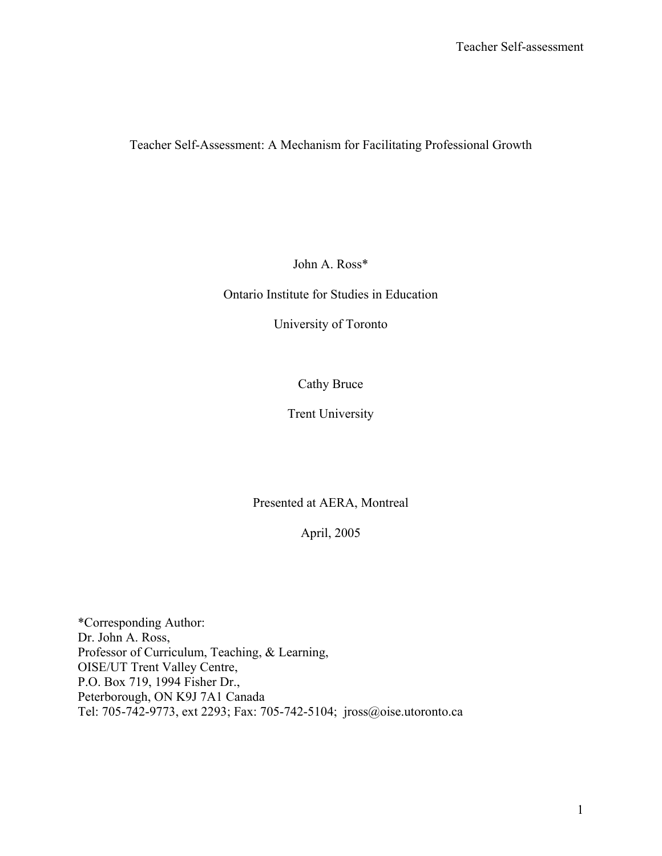Teacher Self-Assessment: A Mechanism for Facilitating Professional Growth

John A. Ross\*

Ontario Institute for Studies in Education

University of Toronto

Cathy Bruce

Trent University

Presented at AERA, Montreal

April, 2005

\*Corresponding Author: Dr. John A. Ross, Professor of Curriculum, Teaching, & Learning, OISE/UT Trent Valley Centre, P.O. Box 719, 1994 Fisher Dr., Peterborough, ON K9J 7A1 Canada Tel: 705-742-9773, ext 2293; Fax: 705-742-5104; jross@oise.utoronto.ca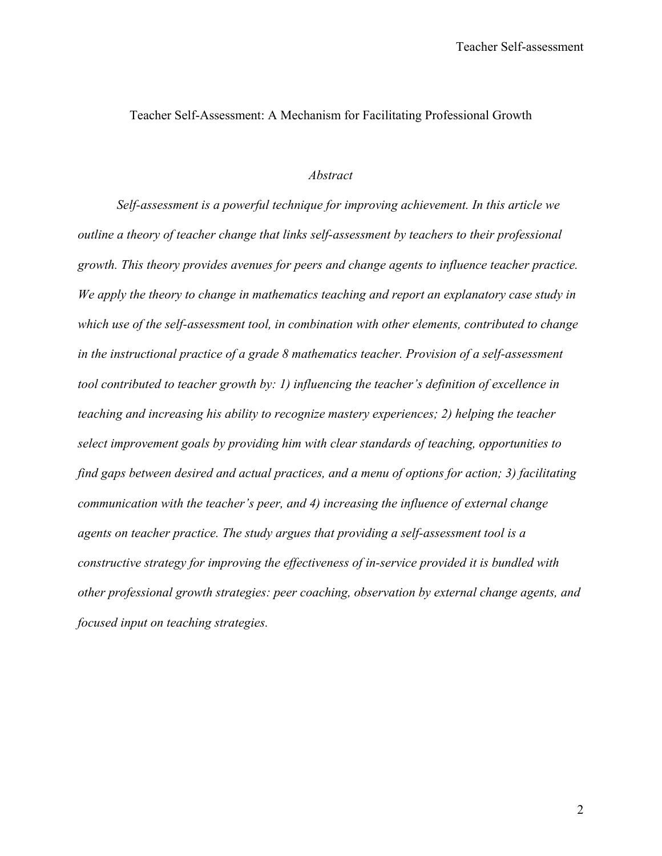Teacher Self-Assessment: A Mechanism for Facilitating Professional Growth

### *Abstract*

 *Self-assessment is a powerful technique for improving achievement. In this article we outline a theory of teacher change that links self-assessment by teachers to their professional growth. This theory provides avenues for peers and change agents to influence teacher practice. We apply the theory to change in mathematics teaching and report an explanatory case study in which use of the self-assessment tool, in combination with other elements, contributed to change in the instructional practice of a grade 8 mathematics teacher. Provision of a self-assessment tool contributed to teacher growth by: 1) influencing the teacher's definition of excellence in teaching and increasing his ability to recognize mastery experiences; 2) helping the teacher select improvement goals by providing him with clear standards of teaching, opportunities to find gaps between desired and actual practices, and a menu of options for action; 3) facilitating communication with the teacher's peer, and 4) increasing the influence of external change agents on teacher practice. The study argues that providing a self-assessment tool is a constructive strategy for improving the effectiveness of in-service provided it is bundled with other professional growth strategies: peer coaching, observation by external change agents, and focused input on teaching strategies.*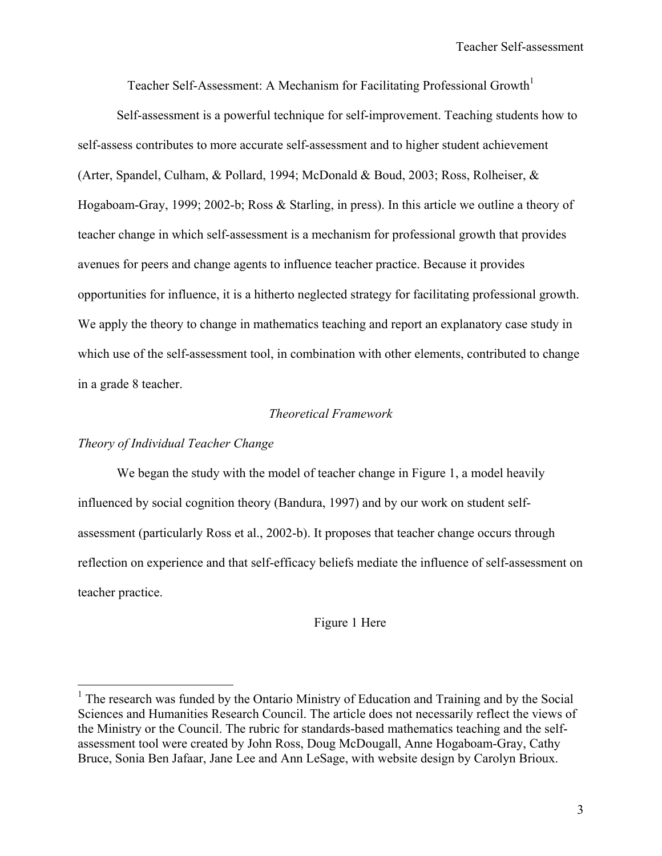Teacher Self-Assessment: A Mechanism for Facilitating Professional Growth<sup>1</sup>

 Self-assessment is a powerful technique for self-improvement. Teaching students how to self-assess contributes to more accurate self-assessment and to higher student achievement (Arter, Spandel, Culham, & Pollard, 1994; McDonald & Boud, 2003; Ross, Rolheiser, & Hogaboam-Gray, 1999; 2002-b; Ross & Starling, in press). In this article we outline a theory of teacher change in which self-assessment is a mechanism for professional growth that provides avenues for peers and change agents to influence teacher practice. Because it provides opportunities for influence, it is a hitherto neglected strategy for facilitating professional growth. We apply the theory to change in mathematics teaching and report an explanatory case study in which use of the self-assessment tool, in combination with other elements, contributed to change in a grade 8 teacher.

### *Theoretical Framework*

### *Theory of Individual Teacher Change*

<u>.</u>

We began the study with the model of teacher change in Figure 1, a model heavily influenced by social cognition theory (Bandura, 1997) and by our work on student selfassessment (particularly Ross et al., 2002-b). It proposes that teacher change occurs through reflection on experience and that self-efficacy beliefs mediate the influence of self-assessment on teacher practice.

#### Figure 1 Here

 $<sup>1</sup>$  The research was funded by the Ontario Ministry of Education and Training and by the Social</sup> Sciences and Humanities Research Council. The article does not necessarily reflect the views of the Ministry or the Council. The rubric for standards-based mathematics teaching and the selfassessment tool were created by John Ross, Doug McDougall, Anne Hogaboam-Gray, Cathy Bruce, Sonia Ben Jafaar, Jane Lee and Ann LeSage, with website design by Carolyn Brioux.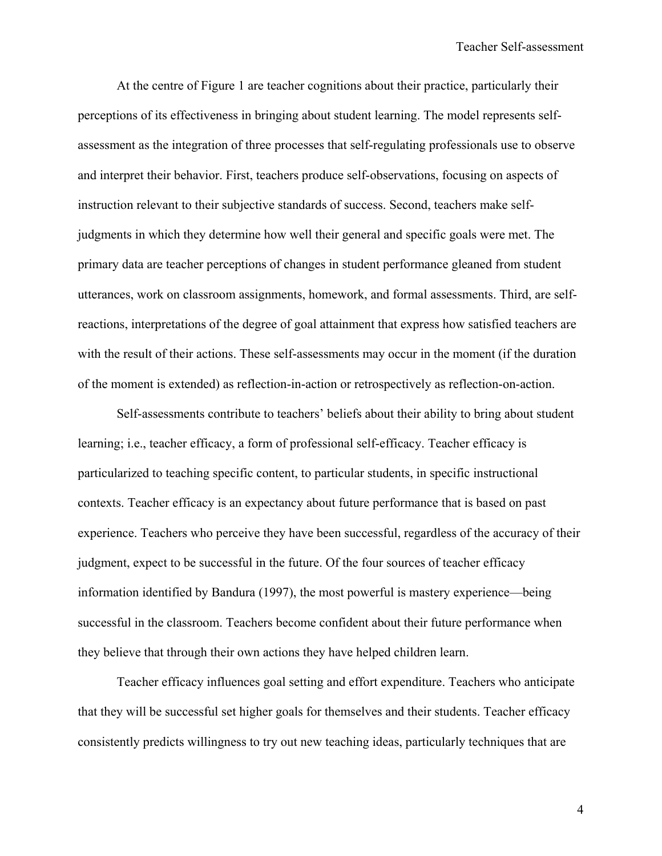At the centre of Figure 1 are teacher cognitions about their practice, particularly their perceptions of its effectiveness in bringing about student learning. The model represents selfassessment as the integration of three processes that self-regulating professionals use to observe and interpret their behavior. First, teachers produce self-observations, focusing on aspects of instruction relevant to their subjective standards of success. Second, teachers make selfjudgments in which they determine how well their general and specific goals were met. The primary data are teacher perceptions of changes in student performance gleaned from student utterances, work on classroom assignments, homework, and formal assessments. Third, are selfreactions, interpretations of the degree of goal attainment that express how satisfied teachers are with the result of their actions. These self-assessments may occur in the moment (if the duration of the moment is extended) as reflection-in-action or retrospectively as reflection-on-action.

Self-assessments contribute to teachers' beliefs about their ability to bring about student learning; i.e., teacher efficacy, a form of professional self-efficacy. Teacher efficacy is particularized to teaching specific content, to particular students, in specific instructional contexts. Teacher efficacy is an expectancy about future performance that is based on past experience. Teachers who perceive they have been successful, regardless of the accuracy of their judgment, expect to be successful in the future. Of the four sources of teacher efficacy information identified by Bandura (1997), the most powerful is mastery experience—being successful in the classroom. Teachers become confident about their future performance when they believe that through their own actions they have helped children learn.

Teacher efficacy influences goal setting and effort expenditure. Teachers who anticipate that they will be successful set higher goals for themselves and their students. Teacher efficacy consistently predicts willingness to try out new teaching ideas, particularly techniques that are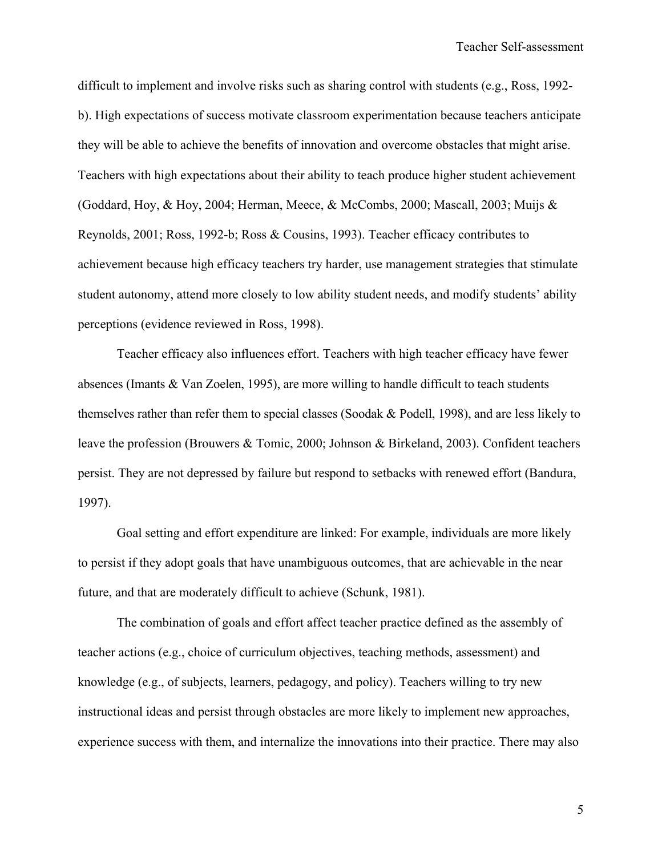difficult to implement and involve risks such as sharing control with students (e.g., Ross, 1992 b). High expectations of success motivate classroom experimentation because teachers anticipate they will be able to achieve the benefits of innovation and overcome obstacles that might arise. Teachers with high expectations about their ability to teach produce higher student achievement (Goddard, Hoy, & Hoy, 2004; Herman, Meece, & McCombs, 2000; Mascall, 2003; Muijs & Reynolds, 2001; Ross, 1992-b; Ross & Cousins, 1993). Teacher efficacy contributes to achievement because high efficacy teachers try harder, use management strategies that stimulate student autonomy, attend more closely to low ability student needs, and modify students' ability perceptions (evidence reviewed in Ross, 1998).

Teacher efficacy also influences effort. Teachers with high teacher efficacy have fewer absences (Imants & Van Zoelen, 1995), are more willing to handle difficult to teach students themselves rather than refer them to special classes (Soodak & Podell, 1998), and are less likely to leave the profession (Brouwers & Tomic, 2000; Johnson & Birkeland, 2003). Confident teachers persist. They are not depressed by failure but respond to setbacks with renewed effort (Bandura, 1997).

Goal setting and effort expenditure are linked: For example, individuals are more likely to persist if they adopt goals that have unambiguous outcomes, that are achievable in the near future, and that are moderately difficult to achieve (Schunk, 1981).

The combination of goals and effort affect teacher practice defined as the assembly of teacher actions (e.g., choice of curriculum objectives, teaching methods, assessment) and knowledge (e.g., of subjects, learners, pedagogy, and policy). Teachers willing to try new instructional ideas and persist through obstacles are more likely to implement new approaches, experience success with them, and internalize the innovations into their practice. There may also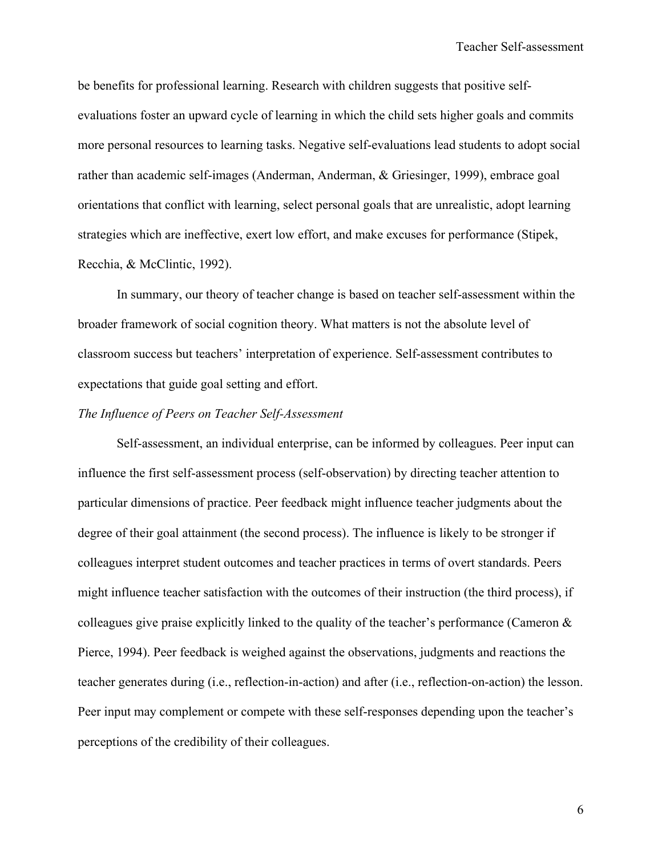be benefits for professional learning. Research with children suggests that positive selfevaluations foster an upward cycle of learning in which the child sets higher goals and commits more personal resources to learning tasks. Negative self-evaluations lead students to adopt social rather than academic self-images (Anderman, Anderman, & Griesinger, 1999), embrace goal orientations that conflict with learning, select personal goals that are unrealistic, adopt learning strategies which are ineffective, exert low effort, and make excuses for performance (Stipek, Recchia, & McClintic, 1992).

 In summary, our theory of teacher change is based on teacher self-assessment within the broader framework of social cognition theory. What matters is not the absolute level of classroom success but teachers' interpretation of experience. Self-assessment contributes to expectations that guide goal setting and effort.

#### *The Influence of Peers on Teacher Self-Assessment*

 Self-assessment, an individual enterprise, can be informed by colleagues. Peer input can influence the first self-assessment process (self-observation) by directing teacher attention to particular dimensions of practice. Peer feedback might influence teacher judgments about the degree of their goal attainment (the second process). The influence is likely to be stronger if colleagues interpret student outcomes and teacher practices in terms of overt standards. Peers might influence teacher satisfaction with the outcomes of their instruction (the third process), if colleagues give praise explicitly linked to the quality of the teacher's performance (Cameron  $\&$ Pierce, 1994). Peer feedback is weighed against the observations, judgments and reactions the teacher generates during (i.e., reflection-in-action) and after (i.e., reflection-on-action) the lesson. Peer input may complement or compete with these self-responses depending upon the teacher's perceptions of the credibility of their colleagues.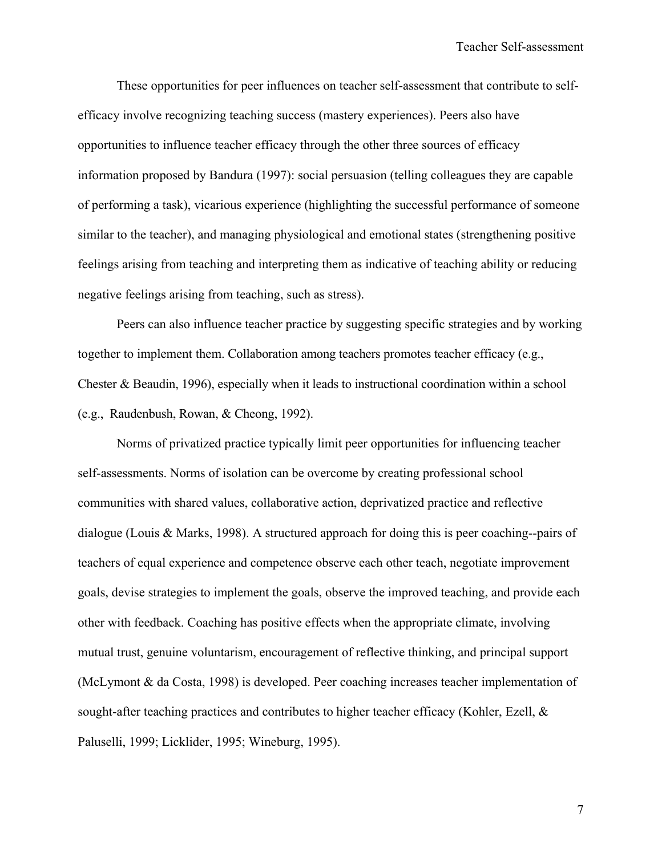These opportunities for peer influences on teacher self-assessment that contribute to selfefficacy involve recognizing teaching success (mastery experiences). Peers also have opportunities to influence teacher efficacy through the other three sources of efficacy information proposed by Bandura (1997): social persuasion (telling colleagues they are capable of performing a task), vicarious experience (highlighting the successful performance of someone similar to the teacher), and managing physiological and emotional states (strengthening positive feelings arising from teaching and interpreting them as indicative of teaching ability or reducing negative feelings arising from teaching, such as stress).

Peers can also influence teacher practice by suggesting specific strategies and by working together to implement them. Collaboration among teachers promotes teacher efficacy (e.g., Chester & Beaudin, 1996), especially when it leads to instructional coordination within a school (e.g., Raudenbush, Rowan, & Cheong, 1992).

Norms of privatized practice typically limit peer opportunities for influencing teacher self-assessments. Norms of isolation can be overcome by creating professional school communities with shared values, collaborative action, deprivatized practice and reflective dialogue (Louis & Marks, 1998). A structured approach for doing this is peer coaching--pairs of teachers of equal experience and competence observe each other teach, negotiate improvement goals, devise strategies to implement the goals, observe the improved teaching, and provide each other with feedback. Coaching has positive effects when the appropriate climate, involving mutual trust, genuine voluntarism, encouragement of reflective thinking, and principal support (McLymont & da Costa, 1998) is developed. Peer coaching increases teacher implementation of sought-after teaching practices and contributes to higher teacher efficacy (Kohler, Ezell, & Paluselli, 1999; Licklider, 1995; Wineburg, 1995).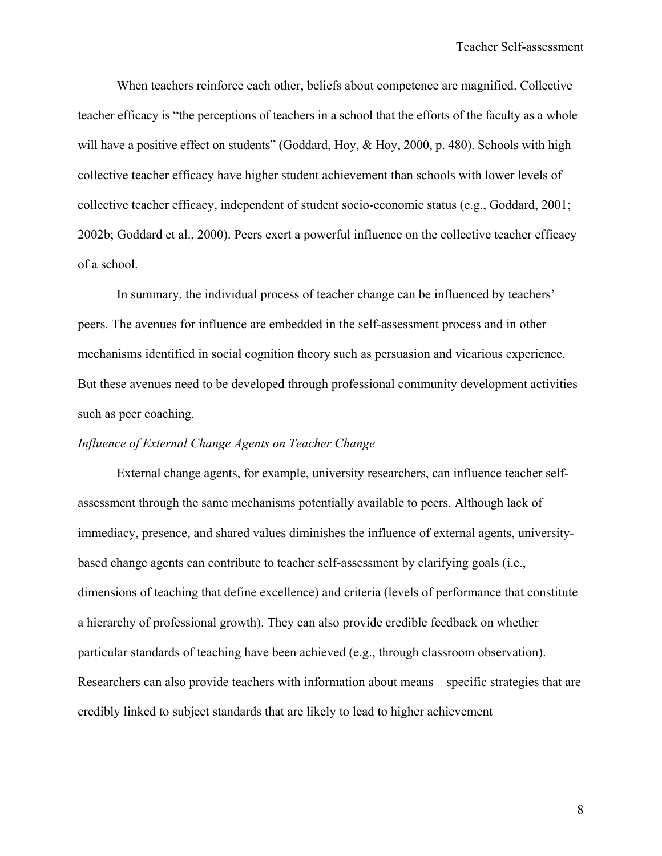When teachers reinforce each other, beliefs about competence are magnified. Collective teacher efficacy is "the perceptions of teachers in a school that the efforts of the faculty as a whole will have a positive effect on students" (Goddard, Hoy, & Hoy, 2000, p. 480). Schools with high collective teacher efficacy have higher student achievement than schools with lower levels of collective teacher efficacy, independent of student socio-economic status (e.g., Goddard, 2001; 2002b; Goddard et al., 2000). Peers exert a powerful influence on the collective teacher efficacy of a school.

In summary, the individual process of teacher change can be influenced by teachers' peers. The avenues for influence are embedded in the self-assessment process and in other mechanisms identified in social cognition theory such as persuasion and vicarious experience. But these avenues need to be developed through professional community development activities such as peer coaching.

### *Influence of External Change Agents on Teacher Change*

 External change agents, for example, university researchers, can influence teacher selfassessment through the same mechanisms potentially available to peers. Although lack of immediacy, presence, and shared values diminishes the influence of external agents, universitybased change agents can contribute to teacher self-assessment by clarifying goals (i.e., dimensions of teaching that define excellence) and criteria (levels of performance that constitute a hierarchy of professional growth). They can also provide credible feedback on whether particular standards of teaching have been achieved (e.g., through classroom observation). Researchers can also provide teachers with information about means—specific strategies that are credibly linked to subject standards that are likely to lead to higher achievement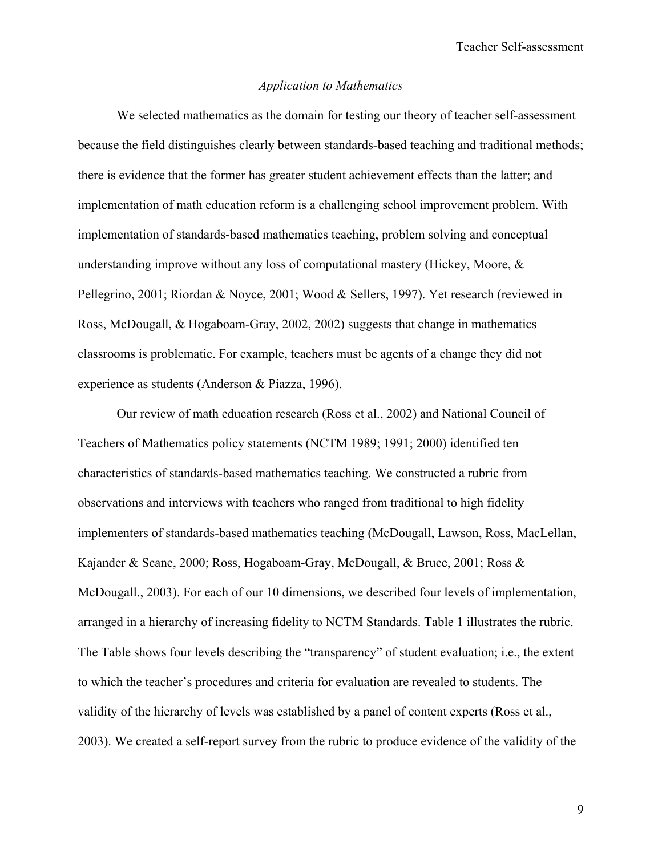### *Application to Mathematics*

We selected mathematics as the domain for testing our theory of teacher self-assessment because the field distinguishes clearly between standards-based teaching and traditional methods; there is evidence that the former has greater student achievement effects than the latter; and implementation of math education reform is a challenging school improvement problem. With implementation of standards-based mathematics teaching, problem solving and conceptual understanding improve without any loss of computational mastery (Hickey, Moore,  $\&$ Pellegrino, 2001; Riordan & Noyce, 2001; Wood & Sellers, 1997). Yet research (reviewed in Ross, McDougall, & Hogaboam-Gray, 2002, 2002) suggests that change in mathematics classrooms is problematic. For example, teachers must be agents of a change they did not experience as students (Anderson & Piazza, 1996).

Our review of math education research (Ross et al., 2002) and National Council of Teachers of Mathematics policy statements (NCTM 1989; 1991; 2000) identified ten characteristics of standards-based mathematics teaching. We constructed a rubric from observations and interviews with teachers who ranged from traditional to high fidelity implementers of standards-based mathematics teaching (McDougall, Lawson, Ross, MacLellan, Kajander & Scane, 2000; Ross, Hogaboam-Gray, McDougall, & Bruce, 2001; Ross & McDougall., 2003). For each of our 10 dimensions, we described four levels of implementation, arranged in a hierarchy of increasing fidelity to NCTM Standards. Table 1 illustrates the rubric. The Table shows four levels describing the "transparency" of student evaluation; i.e., the extent to which the teacher's procedures and criteria for evaluation are revealed to students. The validity of the hierarchy of levels was established by a panel of content experts (Ross et al., 2003). We created a self-report survey from the rubric to produce evidence of the validity of the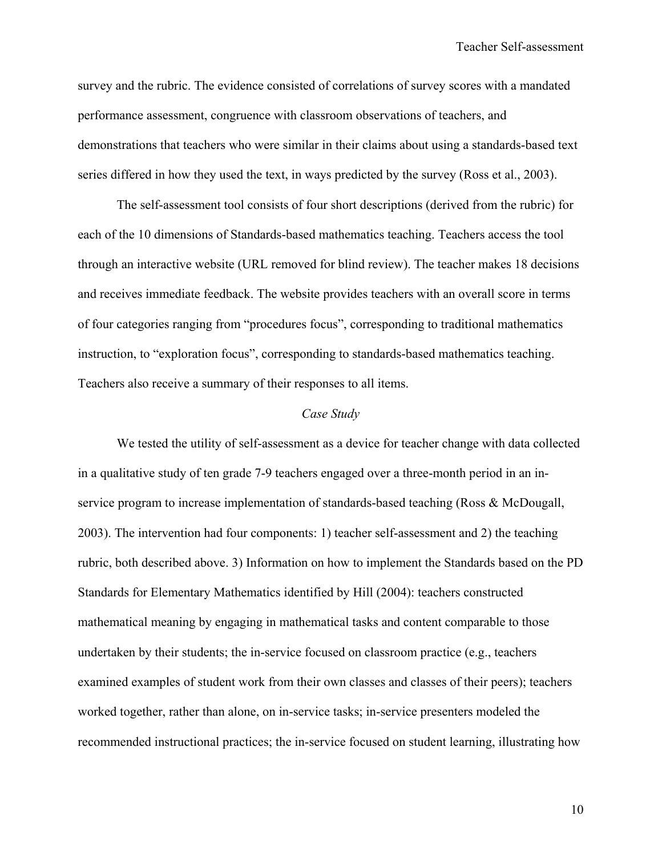survey and the rubric. The evidence consisted of correlations of survey scores with a mandated performance assessment, congruence with classroom observations of teachers, and demonstrations that teachers who were similar in their claims about using a standards-based text series differed in how they used the text, in ways predicted by the survey (Ross et al., 2003).

 The self-assessment tool consists of four short descriptions (derived from the rubric) for each of the 10 dimensions of Standards-based mathematics teaching. Teachers access the tool through an interactive website (URL removed for blind review). The teacher makes 18 decisions and receives immediate feedback. The website provides teachers with an overall score in terms of four categories ranging from "procedures focus", corresponding to traditional mathematics instruction, to "exploration focus", corresponding to standards-based mathematics teaching. Teachers also receive a summary of their responses to all items.

#### *Case Study*

 We tested the utility of self-assessment as a device for teacher change with data collected in a qualitative study of ten grade 7-9 teachers engaged over a three-month period in an inservice program to increase implementation of standards-based teaching (Ross & McDougall, 2003). The intervention had four components: 1) teacher self-assessment and 2) the teaching rubric, both described above. 3) Information on how to implement the Standards based on the PD Standards for Elementary Mathematics identified by Hill (2004): teachers constructed mathematical meaning by engaging in mathematical tasks and content comparable to those undertaken by their students; the in-service focused on classroom practice (e.g., teachers examined examples of student work from their own classes and classes of their peers); teachers worked together, rather than alone, on in-service tasks; in-service presenters modeled the recommended instructional practices; the in-service focused on student learning, illustrating how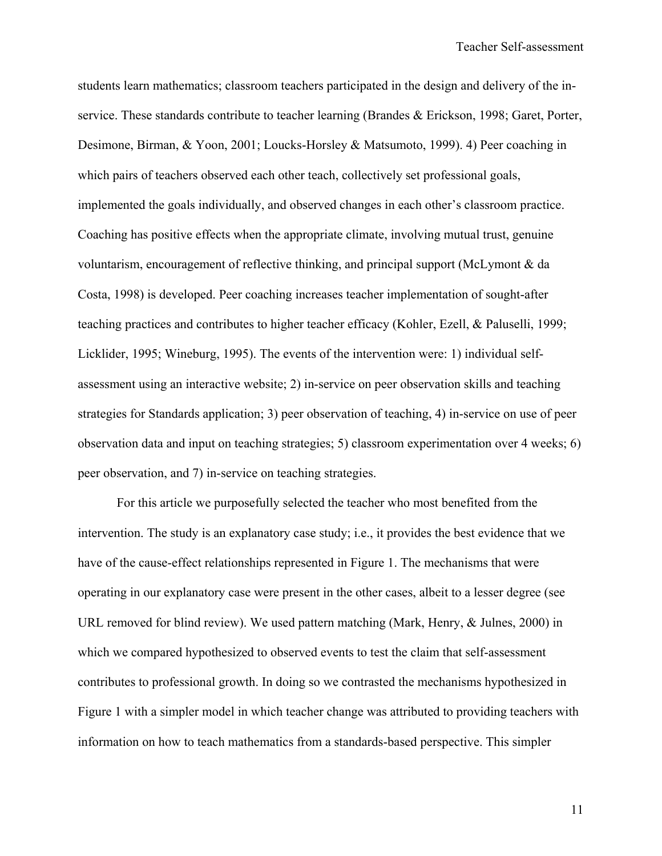students learn mathematics; classroom teachers participated in the design and delivery of the inservice. These standards contribute to teacher learning (Brandes & Erickson, 1998; Garet, Porter, Desimone, Birman, & Yoon, 2001; Loucks-Horsley & Matsumoto, 1999). 4) Peer coaching in which pairs of teachers observed each other teach, collectively set professional goals, implemented the goals individually, and observed changes in each other's classroom practice. Coaching has positive effects when the appropriate climate, involving mutual trust, genuine voluntarism, encouragement of reflective thinking, and principal support (McLymont & da Costa, 1998) is developed. Peer coaching increases teacher implementation of sought-after teaching practices and contributes to higher teacher efficacy (Kohler, Ezell, & Paluselli, 1999; Licklider, 1995; Wineburg, 1995). The events of the intervention were: 1) individual selfassessment using an interactive website; 2) in-service on peer observation skills and teaching strategies for Standards application; 3) peer observation of teaching, 4) in-service on use of peer observation data and input on teaching strategies; 5) classroom experimentation over 4 weeks; 6) peer observation, and 7) in-service on teaching strategies.

 For this article we purposefully selected the teacher who most benefited from the intervention. The study is an explanatory case study; i.e., it provides the best evidence that we have of the cause-effect relationships represented in Figure 1. The mechanisms that were operating in our explanatory case were present in the other cases, albeit to a lesser degree (see URL removed for blind review). We used pattern matching (Mark, Henry, & Julnes, 2000) in which we compared hypothesized to observed events to test the claim that self-assessment contributes to professional growth. In doing so we contrasted the mechanisms hypothesized in Figure 1 with a simpler model in which teacher change was attributed to providing teachers with information on how to teach mathematics from a standards-based perspective. This simpler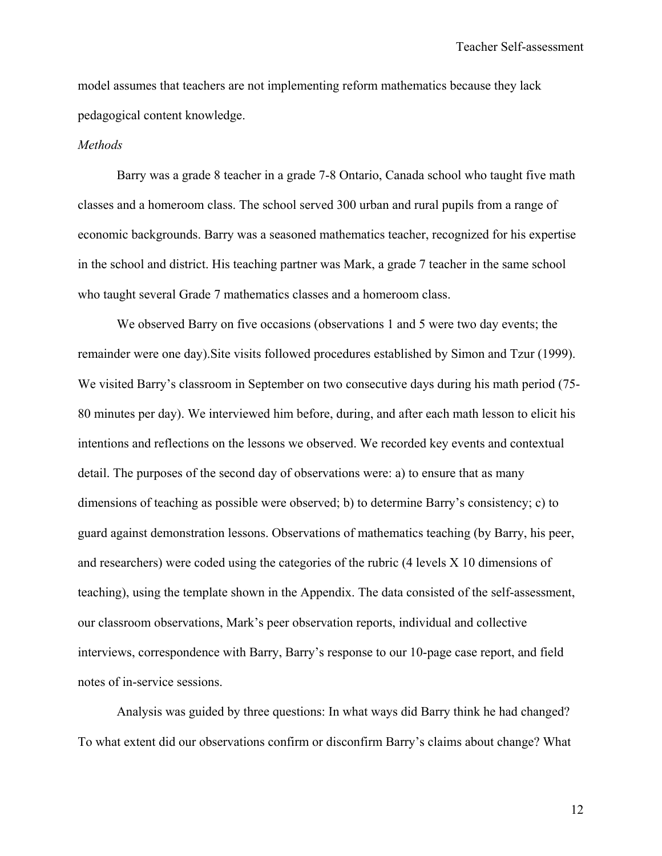model assumes that teachers are not implementing reform mathematics because they lack pedagogical content knowledge.

#### *Methods*

 Barry was a grade 8 teacher in a grade 7-8 Ontario, Canada school who taught five math classes and a homeroom class. The school served 300 urban and rural pupils from a range of economic backgrounds. Barry was a seasoned mathematics teacher, recognized for his expertise in the school and district. His teaching partner was Mark, a grade 7 teacher in the same school who taught several Grade 7 mathematics classes and a homeroom class.

We observed Barry on five occasions (observations 1 and 5 were two day events; the remainder were one day).Site visits followed procedures established by Simon and Tzur (1999). We visited Barry's classroom in September on two consecutive days during his math period (75- 80 minutes per day). We interviewed him before, during, and after each math lesson to elicit his intentions and reflections on the lessons we observed. We recorded key events and contextual detail. The purposes of the second day of observations were: a) to ensure that as many dimensions of teaching as possible were observed; b) to determine Barry's consistency; c) to guard against demonstration lessons. Observations of mathematics teaching (by Barry, his peer, and researchers) were coded using the categories of the rubric (4 levels X 10 dimensions of teaching), using the template shown in the Appendix. The data consisted of the self-assessment, our classroom observations, Mark's peer observation reports, individual and collective interviews, correspondence with Barry, Barry's response to our 10-page case report, and field notes of in-service sessions.

Analysis was guided by three questions: In what ways did Barry think he had changed? To what extent did our observations confirm or disconfirm Barry's claims about change? What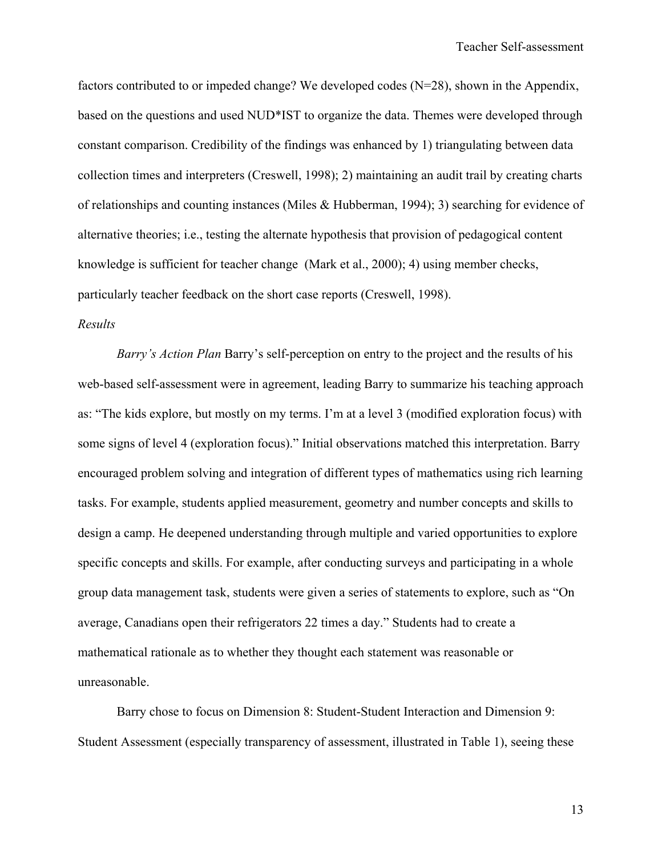factors contributed to or impeded change? We developed codes (N=28), shown in the Appendix, based on the questions and used NUD\*IST to organize the data. Themes were developed through constant comparison. Credibility of the findings was enhanced by 1) triangulating between data collection times and interpreters (Creswell, 1998); 2) maintaining an audit trail by creating charts of relationships and counting instances (Miles & Hubberman, 1994); 3) searching for evidence of alternative theories; i.e., testing the alternate hypothesis that provision of pedagogical content knowledge is sufficient for teacher change (Mark et al., 2000); 4) using member checks, particularly teacher feedback on the short case reports (Creswell, 1998).

### *Results*

*Barry's Action Plan* Barry's self-perception on entry to the project and the results of his web-based self-assessment were in agreement, leading Barry to summarize his teaching approach as: "The kids explore, but mostly on my terms. I'm at a level 3 (modified exploration focus) with some signs of level 4 (exploration focus)." Initial observations matched this interpretation. Barry encouraged problem solving and integration of different types of mathematics using rich learning tasks. For example, students applied measurement, geometry and number concepts and skills to design a camp. He deepened understanding through multiple and varied opportunities to explore specific concepts and skills. For example, after conducting surveys and participating in a whole group data management task, students were given a series of statements to explore, such as "On average, Canadians open their refrigerators 22 times a day." Students had to create a mathematical rationale as to whether they thought each statement was reasonable or unreasonable.

Barry chose to focus on Dimension 8: Student-Student Interaction and Dimension 9: Student Assessment (especially transparency of assessment, illustrated in Table 1), seeing these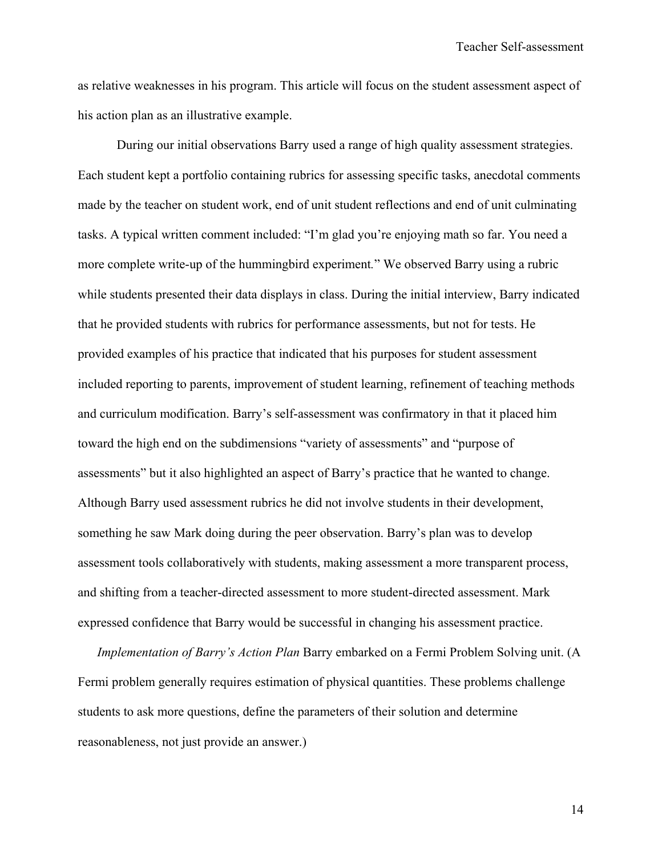as relative weaknesses in his program. This article will focus on the student assessment aspect of his action plan as an illustrative example.

 During our initial observations Barry used a range of high quality assessment strategies. Each student kept a portfolio containing rubrics for assessing specific tasks, anecdotal comments made by the teacher on student work, end of unit student reflections and end of unit culminating tasks. A typical written comment included: "I'm glad you're enjoying math so far. You need a more complete write-up of the hummingbird experiment*.*" We observed Barry using a rubric while students presented their data displays in class. During the initial interview, Barry indicated that he provided students with rubrics for performance assessments, but not for tests. He provided examples of his practice that indicated that his purposes for student assessment included reporting to parents, improvement of student learning, refinement of teaching methods and curriculum modification. Barry's self-assessment was confirmatory in that it placed him toward the high end on the subdimensions "variety of assessments" and "purpose of assessments" but it also highlighted an aspect of Barry's practice that he wanted to change. Although Barry used assessment rubrics he did not involve students in their development, something he saw Mark doing during the peer observation. Barry's plan was to develop assessment tools collaboratively with students, making assessment a more transparent process, and shifting from a teacher-directed assessment to more student-directed assessment. Mark expressed confidence that Barry would be successful in changing his assessment practice.

*Implementation of Barry's Action Plan* Barry embarked on a Fermi Problem Solving unit. (A Fermi problem generally requires estimation of physical quantities. These problems challenge students to ask more questions, define the parameters of their solution and determine reasonableness, not just provide an answer.)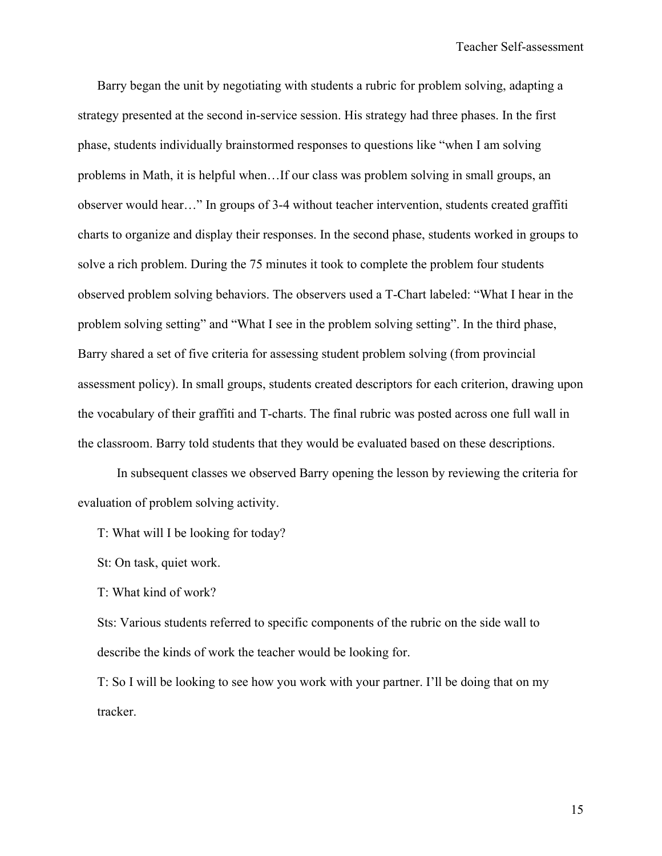Barry began the unit by negotiating with students a rubric for problem solving, adapting a strategy presented at the second in-service session. His strategy had three phases. In the first phase, students individually brainstormed responses to questions like "when I am solving problems in Math, it is helpful when…If our class was problem solving in small groups, an observer would hear…" In groups of 3-4 without teacher intervention, students created graffiti charts to organize and display their responses. In the second phase, students worked in groups to solve a rich problem. During the 75 minutes it took to complete the problem four students observed problem solving behaviors. The observers used a T-Chart labeled: "What I hear in the problem solving setting" and "What I see in the problem solving setting". In the third phase, Barry shared a set of five criteria for assessing student problem solving (from provincial assessment policy). In small groups, students created descriptors for each criterion, drawing upon the vocabulary of their graffiti and T-charts. The final rubric was posted across one full wall in the classroom. Barry told students that they would be evaluated based on these descriptions.

 In subsequent classes we observed Barry opening the lesson by reviewing the criteria for evaluation of problem solving activity.

T: What will I be looking for today?

St: On task, quiet work.

T: What kind of work?

Sts: Various students referred to specific components of the rubric on the side wall to describe the kinds of work the teacher would be looking for.

T: So I will be looking to see how you work with your partner. I'll be doing that on my tracker.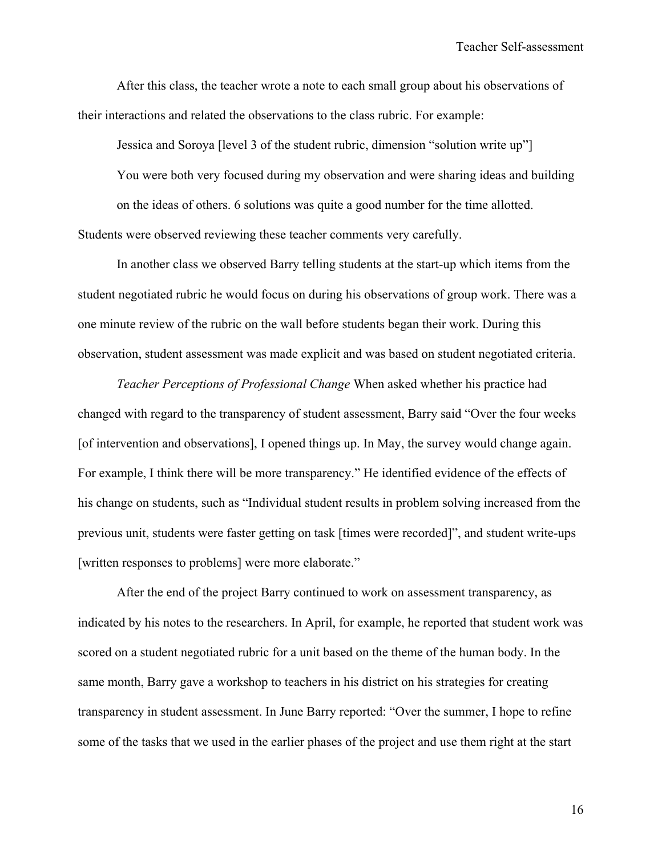After this class, the teacher wrote a note to each small group about his observations of their interactions and related the observations to the class rubric. For example:

Jessica and Soroya [level 3 of the student rubric, dimension "solution write up"] You were both very focused during my observation and were sharing ideas and building on the ideas of others. 6 solutions was quite a good number for the time allotted. Students were observed reviewing these teacher comments very carefully.

In another class we observed Barry telling students at the start-up which items from the student negotiated rubric he would focus on during his observations of group work. There was a one minute review of the rubric on the wall before students began their work. During this observation, student assessment was made explicit and was based on student negotiated criteria.

 *Teacher Perceptions of Professional Change* When asked whether his practice had changed with regard to the transparency of student assessment, Barry said "Over the four weeks [of intervention and observations], I opened things up. In May, the survey would change again. For example, I think there will be more transparency." He identified evidence of the effects of his change on students, such as "Individual student results in problem solving increased from the previous unit, students were faster getting on task [times were recorded]", and student write-ups [written responses to problems] were more elaborate."

After the end of the project Barry continued to work on assessment transparency, as indicated by his notes to the researchers. In April, for example, he reported that student work was scored on a student negotiated rubric for a unit based on the theme of the human body. In the same month, Barry gave a workshop to teachers in his district on his strategies for creating transparency in student assessment. In June Barry reported: "Over the summer, I hope to refine some of the tasks that we used in the earlier phases of the project and use them right at the start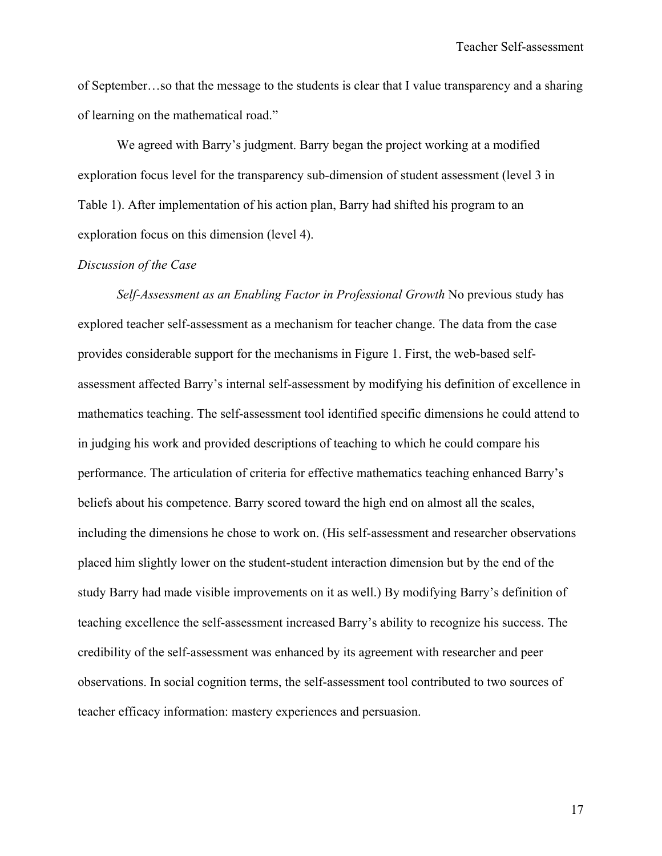of September…so that the message to the students is clear that I value transparency and a sharing of learning on the mathematical road."

We agreed with Barry's judgment. Barry began the project working at a modified exploration focus level for the transparency sub-dimension of student assessment (level 3 in Table 1). After implementation of his action plan, Barry had shifted his program to an exploration focus on this dimension (level 4).

### *Discussion of the Case*

 *Self-Assessment as an Enabling Factor in Professional Growth* No previous study has explored teacher self-assessment as a mechanism for teacher change. The data from the case provides considerable support for the mechanisms in Figure 1. First, the web-based selfassessment affected Barry's internal self-assessment by modifying his definition of excellence in mathematics teaching. The self-assessment tool identified specific dimensions he could attend to in judging his work and provided descriptions of teaching to which he could compare his performance. The articulation of criteria for effective mathematics teaching enhanced Barry's beliefs about his competence. Barry scored toward the high end on almost all the scales, including the dimensions he chose to work on. (His self-assessment and researcher observations placed him slightly lower on the student-student interaction dimension but by the end of the study Barry had made visible improvements on it as well.) By modifying Barry's definition of teaching excellence the self-assessment increased Barry's ability to recognize his success. The credibility of the self-assessment was enhanced by its agreement with researcher and peer observations. In social cognition terms, the self-assessment tool contributed to two sources of teacher efficacy information: mastery experiences and persuasion.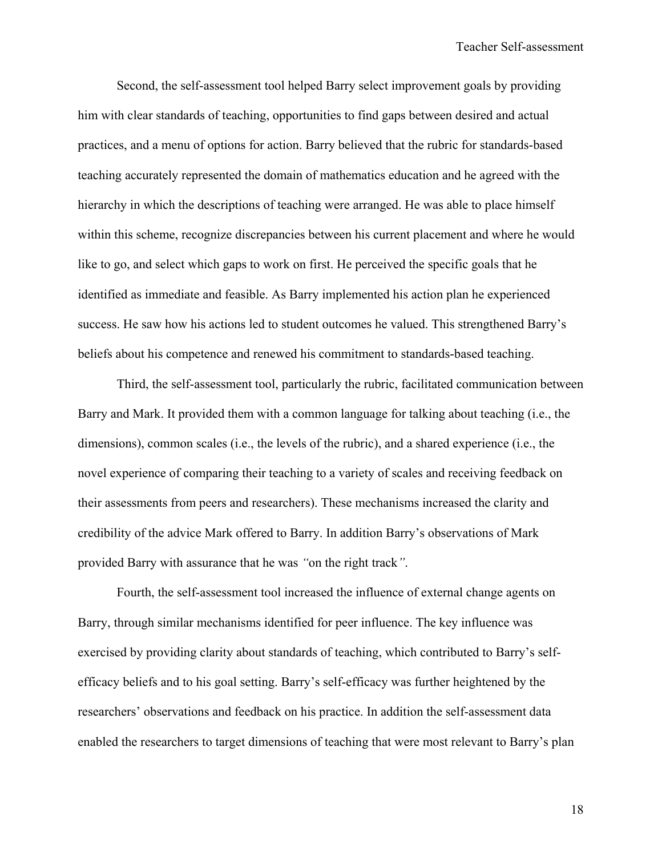Second, the self-assessment tool helped Barry select improvement goals by providing him with clear standards of teaching, opportunities to find gaps between desired and actual practices, and a menu of options for action. Barry believed that the rubric for standards-based teaching accurately represented the domain of mathematics education and he agreed with the hierarchy in which the descriptions of teaching were arranged. He was able to place himself within this scheme, recognize discrepancies between his current placement and where he would like to go, and select which gaps to work on first. He perceived the specific goals that he identified as immediate and feasible. As Barry implemented his action plan he experienced success. He saw how his actions led to student outcomes he valued. This strengthened Barry's beliefs about his competence and renewed his commitment to standards-based teaching.

Third, the self-assessment tool, particularly the rubric, facilitated communication between Barry and Mark. It provided them with a common language for talking about teaching (i.e., the dimensions), common scales (i.e., the levels of the rubric), and a shared experience (i.e., the novel experience of comparing their teaching to a variety of scales and receiving feedback on their assessments from peers and researchers). These mechanisms increased the clarity and credibility of the advice Mark offered to Barry. In addition Barry's observations of Mark provided Barry with assurance that he was *"*on the right track*"*.

Fourth, the self-assessment tool increased the influence of external change agents on Barry, through similar mechanisms identified for peer influence. The key influence was exercised by providing clarity about standards of teaching, which contributed to Barry's selfefficacy beliefs and to his goal setting. Barry's self-efficacy was further heightened by the researchers' observations and feedback on his practice. In addition the self-assessment data enabled the researchers to target dimensions of teaching that were most relevant to Barry's plan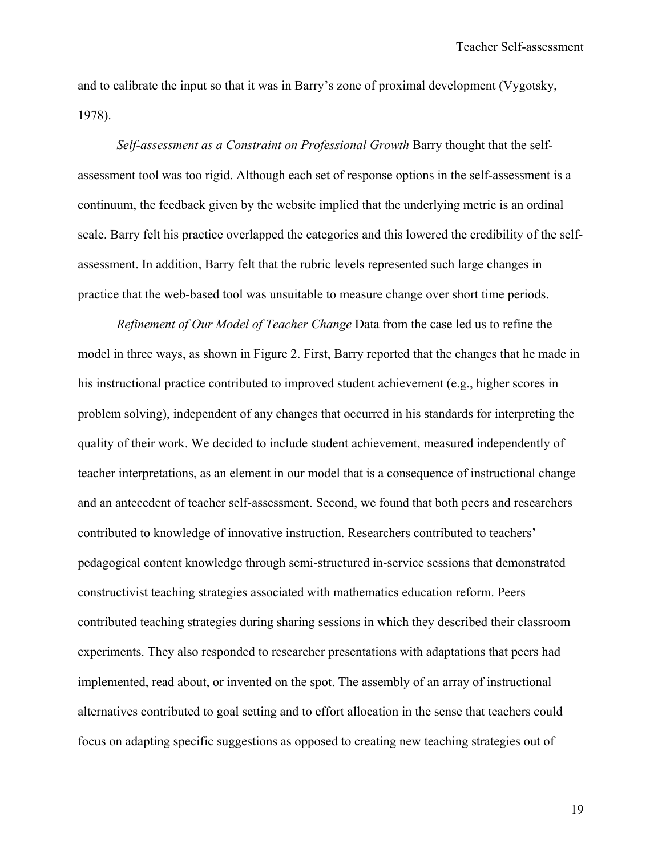and to calibrate the input so that it was in Barry's zone of proximal development (Vygotsky, 1978).

*Self-assessment as a Constraint on Professional Growth* Barry thought that the selfassessment tool was too rigid. Although each set of response options in the self-assessment is a continuum, the feedback given by the website implied that the underlying metric is an ordinal scale. Barry felt his practice overlapped the categories and this lowered the credibility of the selfassessment. In addition, Barry felt that the rubric levels represented such large changes in practice that the web-based tool was unsuitable to measure change over short time periods.

 *Refinement of Our Model of Teacher Change* Data from the case led us to refine the model in three ways, as shown in Figure 2. First, Barry reported that the changes that he made in his instructional practice contributed to improved student achievement (e.g., higher scores in problem solving), independent of any changes that occurred in his standards for interpreting the quality of their work. We decided to include student achievement, measured independently of teacher interpretations, as an element in our model that is a consequence of instructional change and an antecedent of teacher self-assessment. Second, we found that both peers and researchers contributed to knowledge of innovative instruction. Researchers contributed to teachers' pedagogical content knowledge through semi-structured in-service sessions that demonstrated constructivist teaching strategies associated with mathematics education reform. Peers contributed teaching strategies during sharing sessions in which they described their classroom experiments. They also responded to researcher presentations with adaptations that peers had implemented, read about, or invented on the spot. The assembly of an array of instructional alternatives contributed to goal setting and to effort allocation in the sense that teachers could focus on adapting specific suggestions as opposed to creating new teaching strategies out of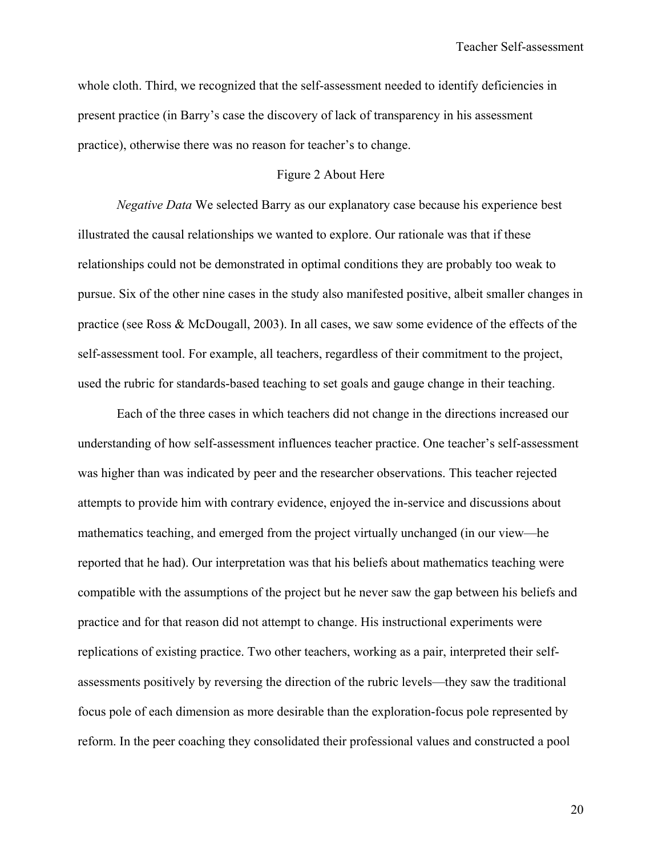whole cloth. Third, we recognized that the self-assessment needed to identify deficiencies in present practice (in Barry's case the discovery of lack of transparency in his assessment practice), otherwise there was no reason for teacher's to change.

### Figure 2 About Here

*Negative Data* We selected Barry as our explanatory case because his experience best illustrated the causal relationships we wanted to explore. Our rationale was that if these relationships could not be demonstrated in optimal conditions they are probably too weak to pursue. Six of the other nine cases in the study also manifested positive, albeit smaller changes in practice (see Ross & McDougall, 2003). In all cases, we saw some evidence of the effects of the self-assessment tool. For example, all teachers, regardless of their commitment to the project, used the rubric for standards-based teaching to set goals and gauge change in their teaching.

 Each of the three cases in which teachers did not change in the directions increased our understanding of how self-assessment influences teacher practice. One teacher's self-assessment was higher than was indicated by peer and the researcher observations. This teacher rejected attempts to provide him with contrary evidence, enjoyed the in-service and discussions about mathematics teaching, and emerged from the project virtually unchanged (in our view—he reported that he had). Our interpretation was that his beliefs about mathematics teaching were compatible with the assumptions of the project but he never saw the gap between his beliefs and practice and for that reason did not attempt to change. His instructional experiments were replications of existing practice. Two other teachers, working as a pair, interpreted their selfassessments positively by reversing the direction of the rubric levels—they saw the traditional focus pole of each dimension as more desirable than the exploration-focus pole represented by reform. In the peer coaching they consolidated their professional values and constructed a pool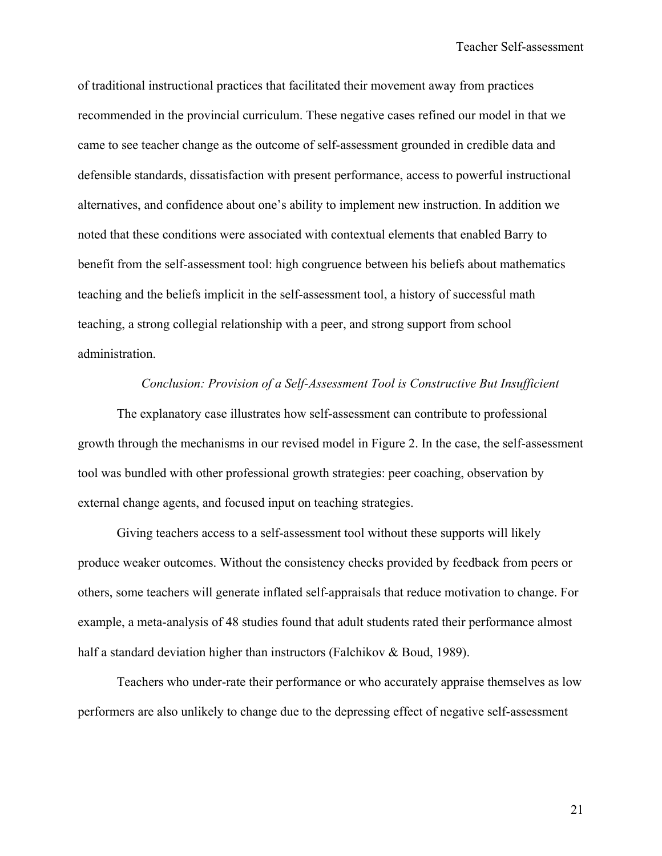of traditional instructional practices that facilitated their movement away from practices recommended in the provincial curriculum. These negative cases refined our model in that we came to see teacher change as the outcome of self-assessment grounded in credible data and defensible standards, dissatisfaction with present performance, access to powerful instructional alternatives, and confidence about one's ability to implement new instruction. In addition we noted that these conditions were associated with contextual elements that enabled Barry to benefit from the self-assessment tool: high congruence between his beliefs about mathematics teaching and the beliefs implicit in the self-assessment tool, a history of successful math teaching, a strong collegial relationship with a peer, and strong support from school administration.

### *Conclusion: Provision of a Self-Assessment Tool is Constructive But Insufficient*

 The explanatory case illustrates how self-assessment can contribute to professional growth through the mechanisms in our revised model in Figure 2. In the case, the self-assessment tool was bundled with other professional growth strategies: peer coaching, observation by external change agents, and focused input on teaching strategies.

 Giving teachers access to a self-assessment tool without these supports will likely produce weaker outcomes. Without the consistency checks provided by feedback from peers or others, some teachers will generate inflated self-appraisals that reduce motivation to change. For example, a meta-analysis of 48 studies found that adult students rated their performance almost half a standard deviation higher than instructors (Falchikov & Boud, 1989).

 Teachers who under-rate their performance or who accurately appraise themselves as low performers are also unlikely to change due to the depressing effect of negative self-assessment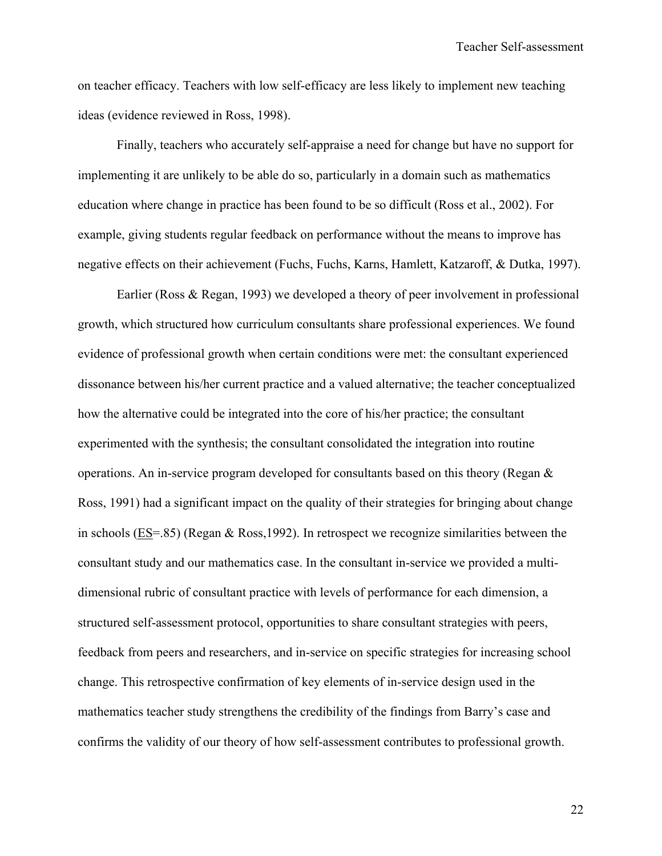on teacher efficacy. Teachers with low self-efficacy are less likely to implement new teaching ideas (evidence reviewed in Ross, 1998).

 Finally, teachers who accurately self-appraise a need for change but have no support for implementing it are unlikely to be able do so, particularly in a domain such as mathematics education where change in practice has been found to be so difficult (Ross et al., 2002). For example, giving students regular feedback on performance without the means to improve has negative effects on their achievement (Fuchs, Fuchs, Karns, Hamlett, Katzaroff, & Dutka, 1997).

Earlier (Ross & Regan, 1993) we developed a theory of peer involvement in professional growth, which structured how curriculum consultants share professional experiences. We found evidence of professional growth when certain conditions were met: the consultant experienced dissonance between his/her current practice and a valued alternative; the teacher conceptualized how the alternative could be integrated into the core of his/her practice; the consultant experimented with the synthesis; the consultant consolidated the integration into routine operations. An in-service program developed for consultants based on this theory (Regan & Ross, 1991) had a significant impact on the quality of their strategies for bringing about change in schools (ES=.85) (Regan & Ross,1992). In retrospect we recognize similarities between the consultant study and our mathematics case. In the consultant in-service we provided a multidimensional rubric of consultant practice with levels of performance for each dimension, a structured self-assessment protocol, opportunities to share consultant strategies with peers, feedback from peers and researchers, and in-service on specific strategies for increasing school change. This retrospective confirmation of key elements of in-service design used in the mathematics teacher study strengthens the credibility of the findings from Barry's case and confirms the validity of our theory of how self-assessment contributes to professional growth.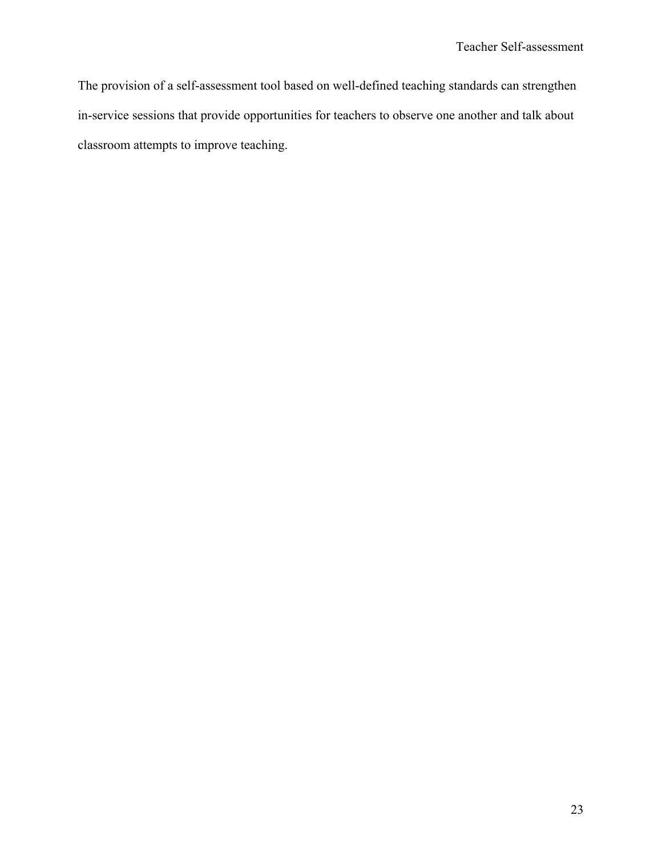The provision of a self-assessment tool based on well-defined teaching standards can strengthen in-service sessions that provide opportunities for teachers to observe one another and talk about classroom attempts to improve teaching.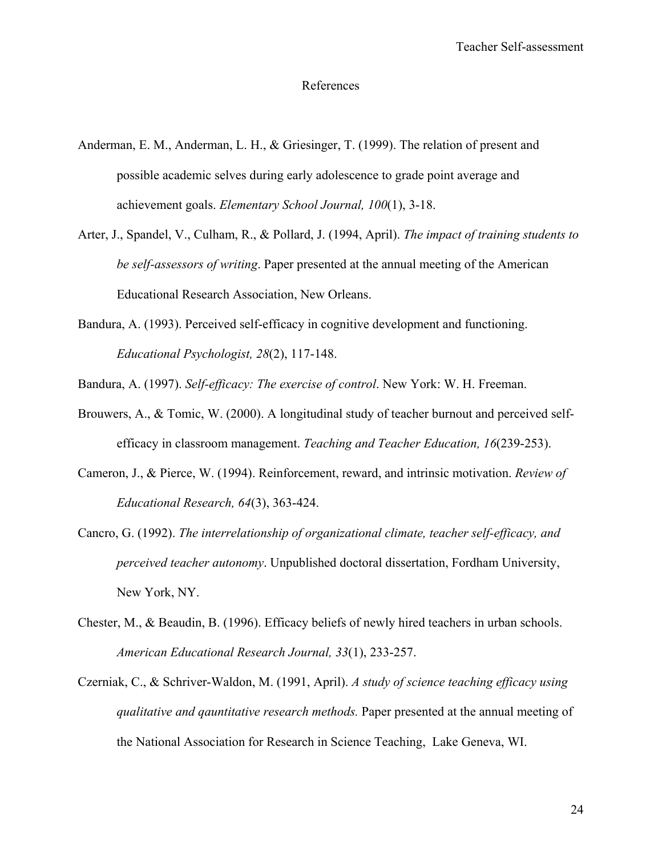### References

- Anderman, E. M., Anderman, L. H., & Griesinger, T. (1999). The relation of present and possible academic selves during early adolescence to grade point average and achievement goals. *Elementary School Journal, 100*(1), 3-18.
- Arter, J., Spandel, V., Culham, R., & Pollard, J. (1994, April). *The impact of training students to be self-assessors of writing*. Paper presented at the annual meeting of the American Educational Research Association, New Orleans.
- Bandura, A. (1993). Perceived self-efficacy in cognitive development and functioning. *Educational Psychologist, 28*(2), 117-148.
- Bandura, A. (1997). *Self-efficacy: The exercise of control*. New York: W. H. Freeman.
- Brouwers, A., & Tomic, W. (2000). A longitudinal study of teacher burnout and perceived selfefficacy in classroom management. *Teaching and Teacher Education, 16*(239-253).
- Cameron, J., & Pierce, W. (1994). Reinforcement, reward, and intrinsic motivation. *Review of Educational Research, 64*(3), 363-424.
- Cancro, G. (1992). *The interrelationship of organizational climate, teacher self-efficacy, and perceived teacher autonomy*. Unpublished doctoral dissertation, Fordham University, New York, NY.
- Chester, M., & Beaudin, B. (1996). Efficacy beliefs of newly hired teachers in urban schools. *American Educational Research Journal, 33*(1), 233-257.
- Czerniak, C., & Schriver-Waldon, M. (1991, April). *A study of science teaching efficacy using qualitative and qauntitative research methods.* Paper presented at the annual meeting of the National Association for Research in Science Teaching, Lake Geneva, WI.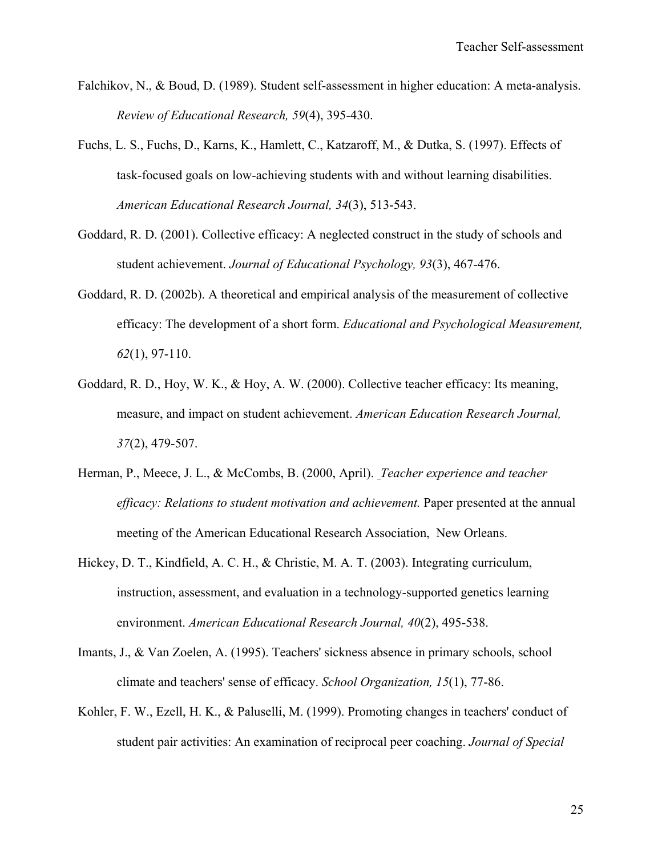- Falchikov, N., & Boud, D. (1989). Student self-assessment in higher education: A meta-analysis. *Review of Educational Research, 59*(4), 395-430.
- Fuchs, L. S., Fuchs, D., Karns, K., Hamlett, C., Katzaroff, M., & Dutka, S. (1997). Effects of task-focused goals on low-achieving students with and without learning disabilities. *American Educational Research Journal, 34*(3), 513-543.
- Goddard, R. D. (2001). Collective efficacy: A neglected construct in the study of schools and student achievement. *Journal of Educational Psychology, 93*(3), 467-476.
- Goddard, R. D. (2002b). A theoretical and empirical analysis of the measurement of collective efficacy: The development of a short form. *Educational and Psychological Measurement, 62*(1), 97-110.
- Goddard, R. D., Hoy, W. K., & Hoy, A. W. (2000). Collective teacher efficacy: Its meaning, measure, and impact on student achievement. *American Education Research Journal, 37*(2), 479-507.
- Herman, P., Meece, J. L., & McCombs, B. (2000, April). *Teacher experience and teacher efficacy: Relations to student motivation and achievement.* Paper presented at the annual meeting of the American Educational Research Association, New Orleans.
- Hickey, D. T., Kindfield, A. C. H., & Christie, M. A. T. (2003). Integrating curriculum, instruction, assessment, and evaluation in a technology-supported genetics learning environment. *American Educational Research Journal, 40*(2), 495-538.
- Imants, J., & Van Zoelen, A. (1995). Teachers' sickness absence in primary schools, school climate and teachers' sense of efficacy. *School Organization, 15*(1), 77-86.
- Kohler, F. W., Ezell, H. K., & Paluselli, M. (1999). Promoting changes in teachers' conduct of student pair activities: An examination of reciprocal peer coaching. *Journal of Special*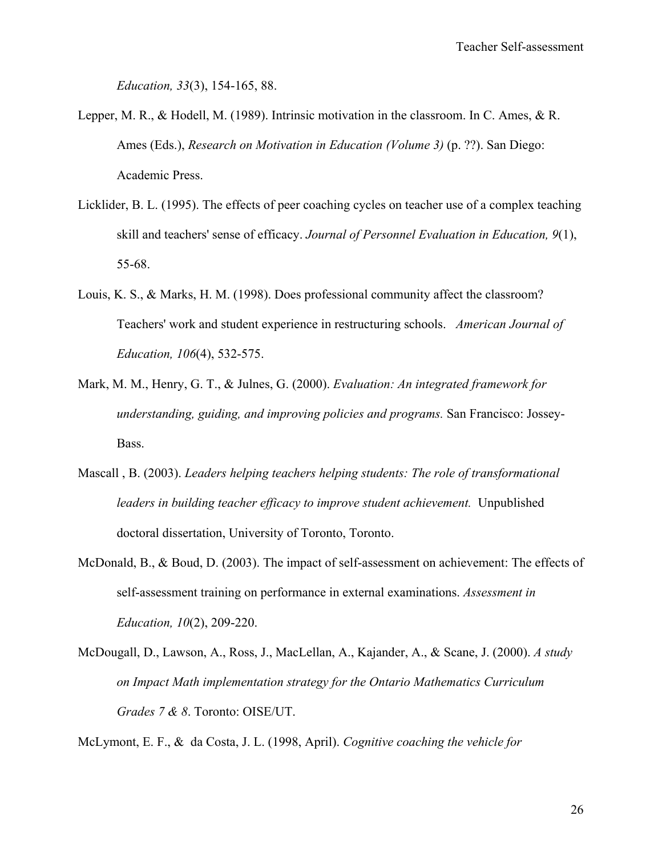*Education, 33*(3), 154-165, 88.

- Lepper, M. R., & Hodell, M. (1989). Intrinsic motivation in the classroom. In C. Ames, & R. Ames (Eds.), *Research on Motivation in Education (Volume 3)* (p. ??). San Diego: Academic Press.
- Licklider, B. L. (1995). The effects of peer coaching cycles on teacher use of a complex teaching skill and teachers' sense of efficacy. *Journal of Personnel Evaluation in Education, 9*(1), 55-68.
- Louis, K. S., & Marks, H. M. (1998). Does professional community affect the classroom? Teachers' work and student experience in restructuring schools. *American Journal of Education, 106*(4), 532-575.
- Mark, M. M., Henry, G. T., & Julnes, G. (2000). *Evaluation: An integrated framework for understanding, guiding, and improving policies and programs.* San Francisco: Jossey-Bass.
- Mascall , B. (2003). *Leaders helping teachers helping students: The role of transformational leaders in building teacher efficacy to improve student achievement.* Unpublished doctoral dissertation, University of Toronto, Toronto.
- McDonald, B., & Boud, D. (2003). The impact of self-assessment on achievement: The effects of self-assessment training on performance in external examinations. *Assessment in Education, 10*(2), 209-220.
- McDougall, D., Lawson, A., Ross, J., MacLellan, A., Kajander, A., & Scane, J. (2000). *A study on Impact Math implementation strategy for the Ontario Mathematics Curriculum Grades 7 & 8*. Toronto: OISE/UT.

McLymont, E. F., & da Costa, J. L. (1998, April). *Cognitive coaching the vehicle for*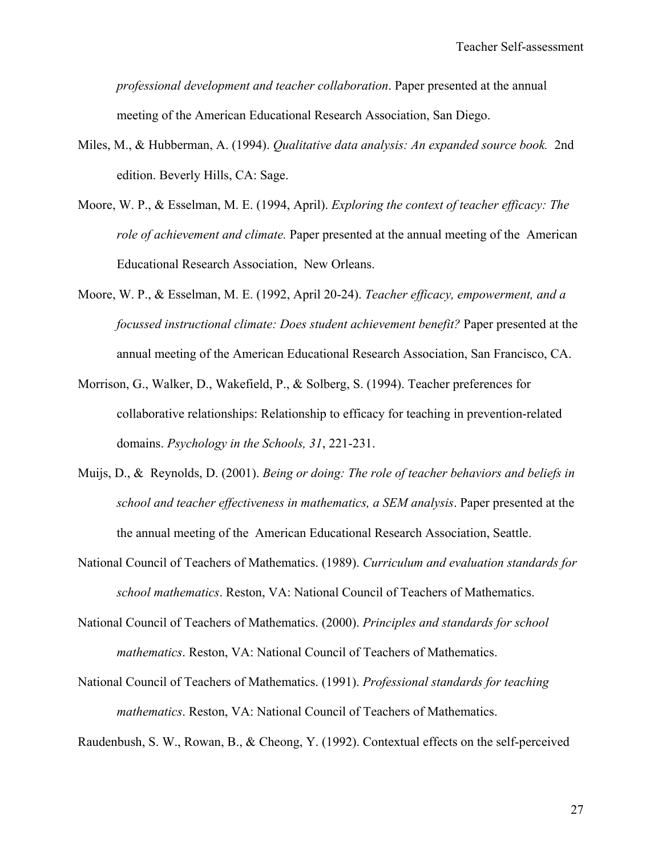*professional development and teacher collaboration*. Paper presented at the annual meeting of the American Educational Research Association, San Diego.

- Miles, M., & Hubberman, A. (1994). *Qualitative data analysis: An expanded source book.* 2nd edition. Beverly Hills, CA: Sage.
- Moore, W. P., & Esselman, M. E. (1994, April). *Exploring the context of teacher efficacy: The role of achievement and climate.* Paper presented at the annual meeting of the American Educational Research Association, New Orleans.
- Moore, W. P., & Esselman, M. E. (1992, April 20-24). *Teacher efficacy, empowerment, and a focussed instructional climate: Does student achievement benefit?* Paper presented at the annual meeting of the American Educational Research Association, San Francisco, CA.
- Morrison, G., Walker, D., Wakefield, P., & Solberg, S. (1994). Teacher preferences for collaborative relationships: Relationship to efficacy for teaching in prevention-related domains. *Psychology in the Schools, 31*, 221-231.
- Muijs, D., & Reynolds, D. (2001). *Being or doing: The role of teacher behaviors and beliefs in school and teacher effectiveness in mathematics, a SEM analysis*. Paper presented at the the annual meeting of the American Educational Research Association, Seattle.
- National Council of Teachers of Mathematics. (1989). *Curriculum and evaluation standards for school mathematics*. Reston, VA: National Council of Teachers of Mathematics.
- National Council of Teachers of Mathematics. (2000). *Principles and standards for school mathematics*. Reston, VA: National Council of Teachers of Mathematics.
- National Council of Teachers of Mathematics. (1991). *Professional standards for teaching mathematics*. Reston, VA: National Council of Teachers of Mathematics.

Raudenbush, S. W., Rowan, B., & Cheong, Y. (1992). Contextual effects on the self-perceived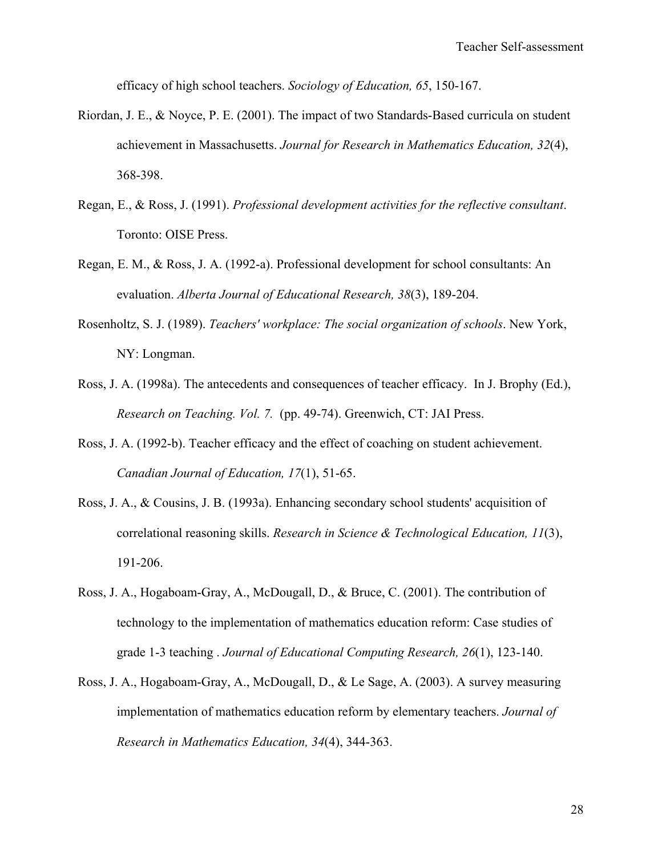efficacy of high school teachers. *Sociology of Education, 65*, 150-167.

- Riordan, J. E., & Noyce, P. E. (2001). The impact of two Standards-Based curricula on student achievement in Massachusetts. *Journal for Research in Mathematics Education, 32*(4), 368-398.
- Regan, E., & Ross, J. (1991). *Professional development activities for the reflective consultant*. Toronto: OISE Press.
- Regan, E. M., & Ross, J. A. (1992-a). Professional development for school consultants: An evaluation. *Alberta Journal of Educational Research, 38*(3), 189-204.
- Rosenholtz, S. J. (1989). *Teachers' workplace: The social organization of schools*. New York, NY: Longman.
- Ross, J. A. (1998a). The antecedents and consequences of teacher efficacy. In J. Brophy (Ed.), *Research on Teaching. Vol. 7.* (pp. 49-74). Greenwich, CT: JAI Press.
- Ross, J. A. (1992-b). Teacher efficacy and the effect of coaching on student achievement. *Canadian Journal of Education, 17*(1), 51-65.
- Ross, J. A., & Cousins, J. B. (1993a). Enhancing secondary school students' acquisition of correlational reasoning skills. *Research in Science & Technological Education, 11*(3), 191-206.
- Ross, J. A., Hogaboam-Gray, A., McDougall, D., & Bruce, C. (2001). The contribution of technology to the implementation of mathematics education reform: Case studies of grade 1-3 teaching . *Journal of Educational Computing Research, 26*(1), 123-140.
- Ross, J. A., Hogaboam-Gray, A., McDougall, D., & Le Sage, A. (2003). A survey measuring implementation of mathematics education reform by elementary teachers. *Journal of Research in Mathematics Education, 34*(4), 344-363.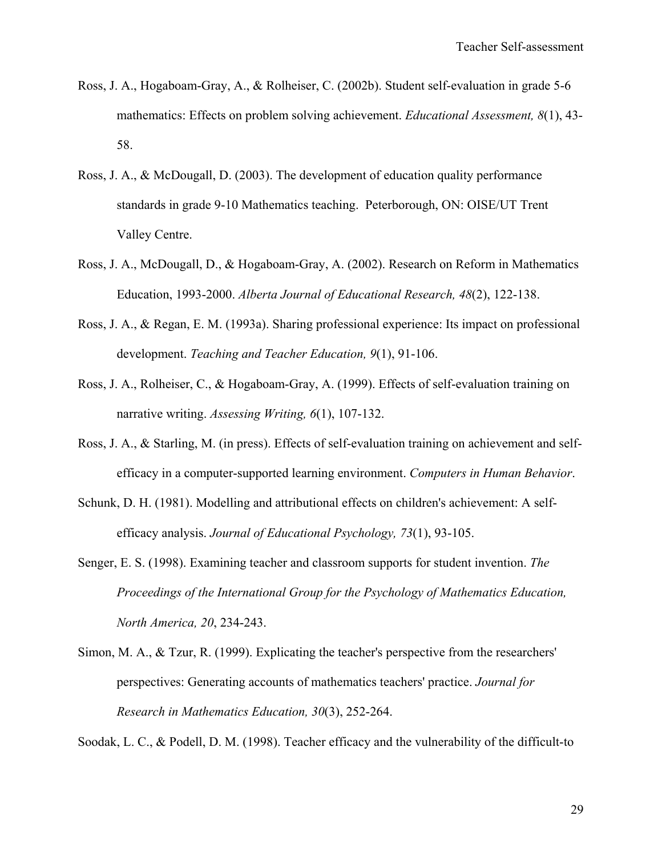- Ross, J. A., Hogaboam-Gray, A., & Rolheiser, C. (2002b). Student self-evaluation in grade 5-6 mathematics: Effects on problem solving achievement. *Educational Assessment, 8*(1), 43- 58.
- Ross, J. A., & McDougall, D. (2003). The development of education quality performance standards in grade 9-10 Mathematics teaching. Peterborough, ON: OISE/UT Trent Valley Centre.
- Ross, J. A., McDougall, D., & Hogaboam-Gray, A. (2002). Research on Reform in Mathematics Education, 1993-2000. *Alberta Journal of Educational Research, 48*(2), 122-138.
- Ross, J. A., & Regan, E. M. (1993a). Sharing professional experience: Its impact on professional development. *Teaching and Teacher Education, 9*(1), 91-106.
- Ross, J. A., Rolheiser, C., & Hogaboam-Gray, A. (1999). Effects of self-evaluation training on narrative writing. *Assessing Writing, 6*(1), 107-132.
- Ross, J. A., & Starling, M. (in press). Effects of self-evaluation training on achievement and selfefficacy in a computer-supported learning environment. *Computers in Human Behavior*.
- Schunk, D. H. (1981). Modelling and attributional effects on children's achievement: A selfefficacy analysis. *Journal of Educational Psychology, 73*(1), 93-105.
- Senger, E. S. (1998). Examining teacher and classroom supports for student invention. *The Proceedings of the International Group for the Psychology of Mathematics Education, North America, 20*, 234-243.
- Simon, M. A., & Tzur, R. (1999). Explicating the teacher's perspective from the researchers' perspectives: Generating accounts of mathematics teachers' practice. *Journal for Research in Mathematics Education, 30*(3), 252-264.

Soodak, L. C., & Podell, D. M. (1998). Teacher efficacy and the vulnerability of the difficult-to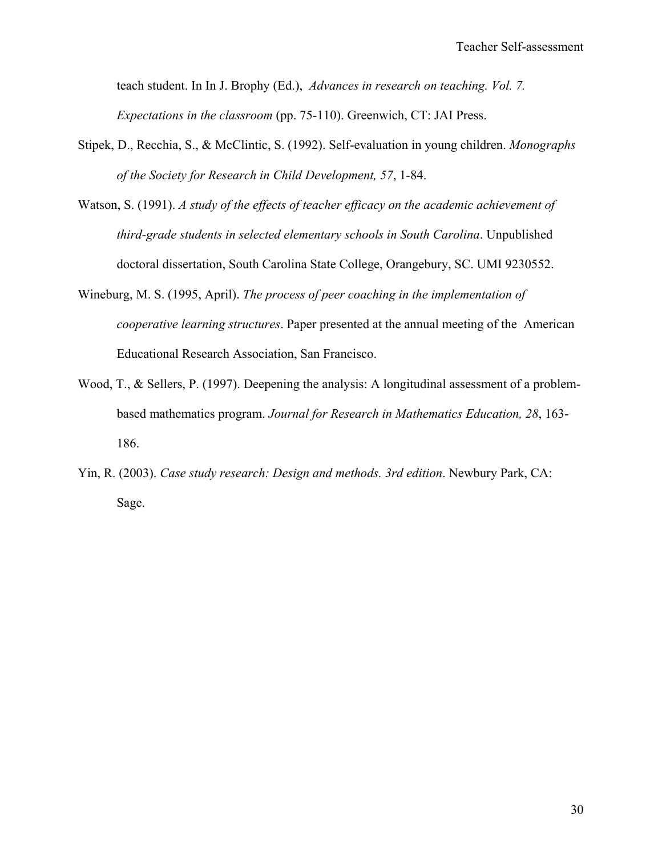teach student. In In J. Brophy (Ed.), *Advances in research on teaching. Vol. 7. Expectations in the classroom* (pp. 75-110). Greenwich, CT: JAI Press.

- Stipek, D., Recchia, S., & McClintic, S. (1992). Self-evaluation in young children. *Monographs of the Society for Research in Child Development, 57*, 1-84.
- Watson, S. (1991). *A study of the effects of teacher efficacy on the academic achievement of third-grade students in selected elementary schools in South Carolina*. Unpublished doctoral dissertation, South Carolina State College, Orangebury, SC. UMI 9230552.
- Wineburg, M. S. (1995, April). *The process of peer coaching in the implementation of cooperative learning structures*. Paper presented at the annual meeting of the American Educational Research Association, San Francisco.
- Wood, T., & Sellers, P. (1997). Deepening the analysis: A longitudinal assessment of a problembased mathematics program. *Journal for Research in Mathematics Education, 28*, 163- 186.
- Yin, R. (2003). *Case study research: Design and methods. 3rd edition*. Newbury Park, CA: Sage.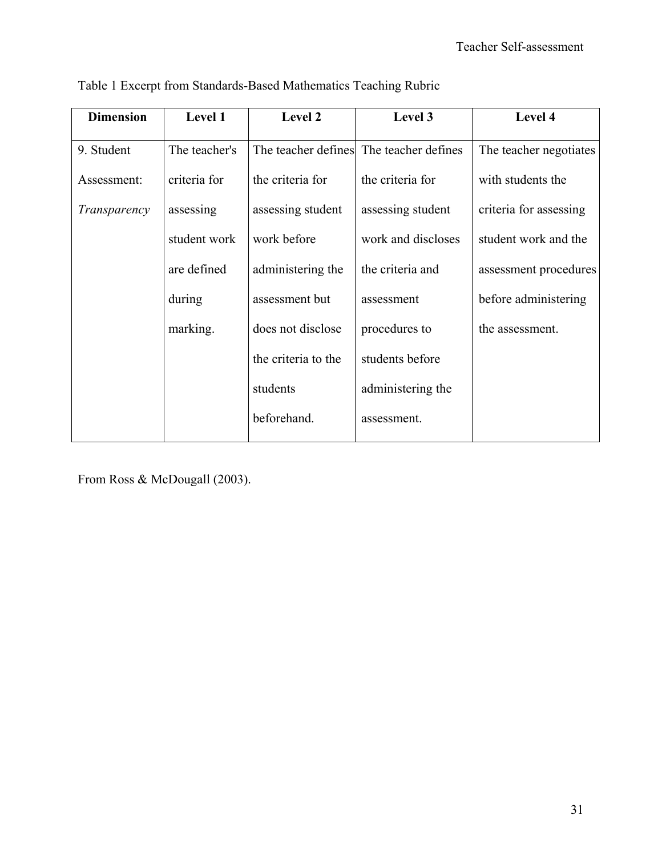| <b>Dimension</b> | Level 1       | Level 2             | Level 3                                 | Level 4                |
|------------------|---------------|---------------------|-----------------------------------------|------------------------|
| 9. Student       | The teacher's |                     | The teacher defines The teacher defines | The teacher negotiates |
| Assessment:      | criteria for  | the criteria for    | the criteria for                        | with students the      |
| Transparency     | assessing     | assessing student   | assessing student                       | criteria for assessing |
|                  | student work  | work before         | work and discloses                      | student work and the   |
|                  | are defined   | administering the   | the criteria and                        | assessment procedures  |
|                  | during        | assessment but      | assessment                              | before administering   |
|                  | marking.      | does not disclose   | procedures to                           | the assessment.        |
|                  |               | the criteria to the | students before                         |                        |
|                  |               | students            | administering the                       |                        |
|                  |               | beforehand.         | assessment.                             |                        |
|                  |               |                     |                                         |                        |

Table 1 Excerpt from Standards-Based Mathematics Teaching Rubric

From Ross & McDougall (2003).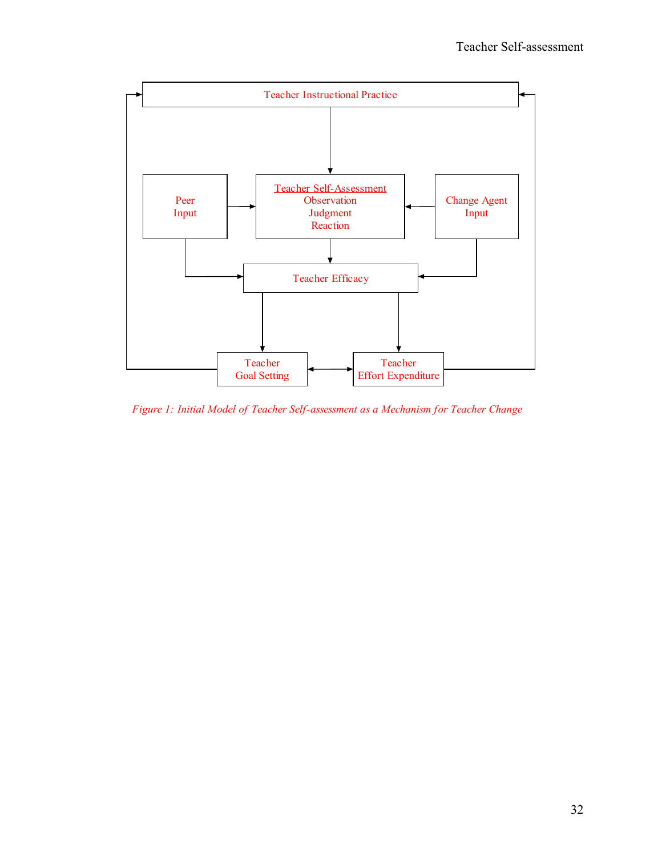

*Figure 1: Initial Model of Teacher Self-assessment as a Mechanism for Teacher Change*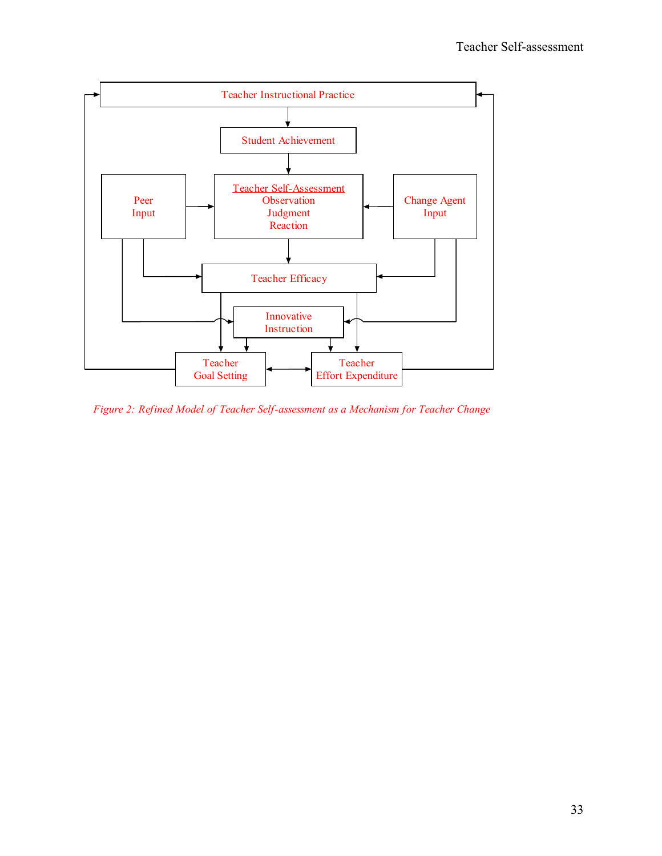

*Figure 2: Refined Model of Teacher Self-assessment as a Mechanism for Teacher Change*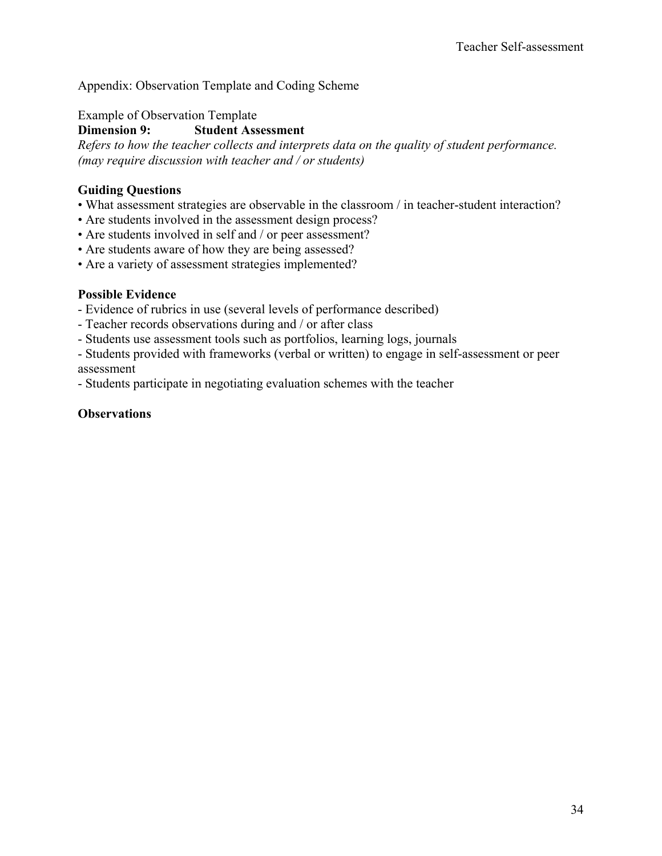# Appendix: Observation Template and Coding Scheme

Example of Observation Template

**Dimension 9: Student Assessment** 

*Refers to how the teacher collects and interprets data on the quality of student performance. (may require discussion with teacher and / or students)* 

## **Guiding Questions**

- What assessment strategies are observable in the classroom / in teacher-student interaction?
- Are students involved in the assessment design process?
- Are students involved in self and / or peer assessment?
- Are students aware of how they are being assessed?
- Are a variety of assessment strategies implemented?

### **Possible Evidence**

- Evidence of rubrics in use (several levels of performance described)
- Teacher records observations during and / or after class
- Students use assessment tools such as portfolios, learning logs, journals
- Students provided with frameworks (verbal or written) to engage in self-assessment or peer assessment

- Students participate in negotiating evaluation schemes with the teacher

### **Observations**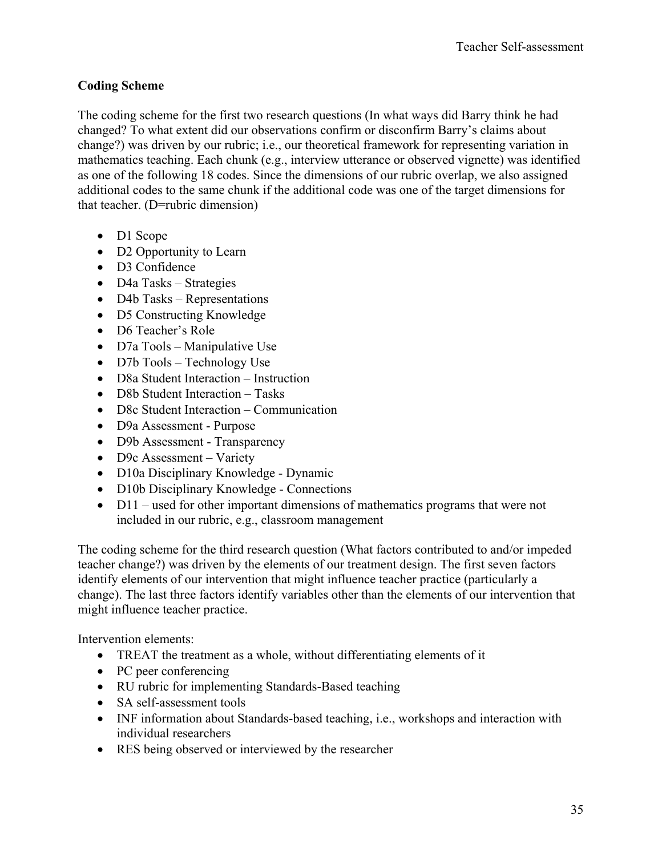# **Coding Scheme**

The coding scheme for the first two research questions (In what ways did Barry think he had changed? To what extent did our observations confirm or disconfirm Barry's claims about change?) was driven by our rubric; i.e., our theoretical framework for representing variation in mathematics teaching. Each chunk (e.g., interview utterance or observed vignette) was identified as one of the following 18 codes. Since the dimensions of our rubric overlap, we also assigned additional codes to the same chunk if the additional code was one of the target dimensions for that teacher. (D=rubric dimension)

- D1 Scope
- D2 Opportunity to Learn
- D3 Confidence
- D4a Tasks Strategies
- D4b Tasks Representations
- D5 Constructing Knowledge
- D6 Teacher's Role
- D7a Tools Manipulative Use
- D7b Tools Technology Use
- D8a Student Interaction Instruction
- D8b Student Interaction Tasks
- D8c Student Interaction Communication
- D9a Assessment Purpose
- D9b Assessment Transparency
- D9c Assessment Variety
- D10a Disciplinary Knowledge Dynamic
- D10b Disciplinary Knowledge Connections
- D11 used for other important dimensions of mathematics programs that were not included in our rubric, e.g., classroom management

The coding scheme for the third research question (What factors contributed to and/or impeded teacher change?) was driven by the elements of our treatment design. The first seven factors identify elements of our intervention that might influence teacher practice (particularly a change). The last three factors identify variables other than the elements of our intervention that might influence teacher practice.

Intervention elements:

- TREAT the treatment as a whole, without differentiating elements of it
- PC peer conferencing
- RU rubric for implementing Standards-Based teaching
- SA self-assessment tools
- INF information about Standards-based teaching, i.e., workshops and interaction with individual researchers
- RES being observed or interviewed by the researcher